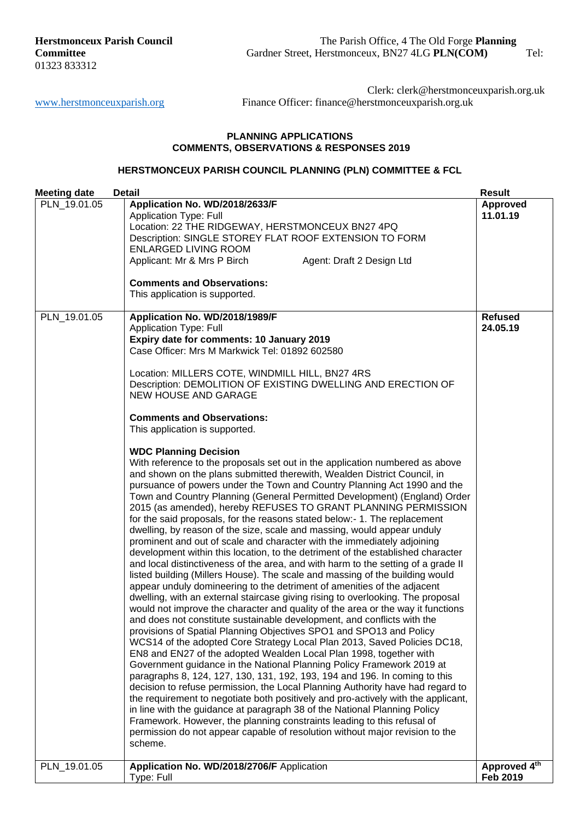#### **PLANNING APPLICATIONS COMMENTS, OBSERVATIONS & RESPONSES 2019**

### **HERSTMONCEUX PARISH COUNCIL PLANNING (PLN) COMMITTEE & FCL**

| <b>Meeting date</b> | <b>Detail</b>                                                                                                                                                                                                                                                                                                                                                                                                                                                                                                                                                                                                                                                                                                                                                                                                                                                                                                                                                                                                                                                                                                                                                                                                                                                                                                                                                                                                                                                                                                                                                                                                                                                                                                                                                                                                                                                                                                                                                                                                                                                                                                                                                                                                                                                                                                                                                                                                                            | <b>Result</b>               |
|---------------------|------------------------------------------------------------------------------------------------------------------------------------------------------------------------------------------------------------------------------------------------------------------------------------------------------------------------------------------------------------------------------------------------------------------------------------------------------------------------------------------------------------------------------------------------------------------------------------------------------------------------------------------------------------------------------------------------------------------------------------------------------------------------------------------------------------------------------------------------------------------------------------------------------------------------------------------------------------------------------------------------------------------------------------------------------------------------------------------------------------------------------------------------------------------------------------------------------------------------------------------------------------------------------------------------------------------------------------------------------------------------------------------------------------------------------------------------------------------------------------------------------------------------------------------------------------------------------------------------------------------------------------------------------------------------------------------------------------------------------------------------------------------------------------------------------------------------------------------------------------------------------------------------------------------------------------------------------------------------------------------------------------------------------------------------------------------------------------------------------------------------------------------------------------------------------------------------------------------------------------------------------------------------------------------------------------------------------------------------------------------------------------------------------------------------------------------|-----------------------------|
| PLN 19.01.05        | Application No. WD/2018/2633/F<br><b>Application Type: Full</b><br>Location: 22 THE RIDGEWAY, HERSTMONCEUX BN27 4PQ<br>Description: SINGLE STOREY FLAT ROOF EXTENSION TO FORM<br><b>ENLARGED LIVING ROOM</b><br>Applicant: Mr & Mrs P Birch<br>Agent: Draft 2 Design Ltd<br><b>Comments and Observations:</b><br>This application is supported.                                                                                                                                                                                                                                                                                                                                                                                                                                                                                                                                                                                                                                                                                                                                                                                                                                                                                                                                                                                                                                                                                                                                                                                                                                                                                                                                                                                                                                                                                                                                                                                                                                                                                                                                                                                                                                                                                                                                                                                                                                                                                          | <b>Approved</b><br>11.01.19 |
| PLN_19.01.05        | Application No. WD/2018/1989/F<br><b>Application Type: Full</b><br>Expiry date for comments: 10 January 2019<br>Case Officer: Mrs M Markwick Tel: 01892 602580<br>Location: MILLERS COTE, WINDMILL HILL, BN27 4RS<br>Description: DEMOLITION OF EXISTING DWELLING AND ERECTION OF<br>NEW HOUSE AND GARAGE<br><b>Comments and Observations:</b><br>This application is supported.<br><b>WDC Planning Decision</b><br>With reference to the proposals set out in the application numbered as above<br>and shown on the plans submitted therewith, Wealden District Council, in<br>pursuance of powers under the Town and Country Planning Act 1990 and the<br>Town and Country Planning (General Permitted Development) (England) Order<br>2015 (as amended), hereby REFUSES TO GRANT PLANNING PERMISSION<br>for the said proposals, for the reasons stated below:- 1. The replacement<br>dwelling, by reason of the size, scale and massing, would appear unduly<br>prominent and out of scale and character with the immediately adjoining<br>development within this location, to the detriment of the established character<br>and local distinctiveness of the area, and with harm to the setting of a grade II<br>listed building (Millers House). The scale and massing of the building would<br>appear unduly domineering to the detriment of amenities of the adjacent<br>dwelling, with an external staircase giving rising to overlooking. The proposal<br>would not improve the character and quality of the area or the way it functions<br>and does not constitute sustainable development, and conflicts with the<br>provisions of Spatial Planning Objectives SPO1 and SPO13 and Policy<br>WCS14 of the adopted Core Strategy Local Plan 2013, Saved Policies DC18,<br>EN8 and EN27 of the adopted Wealden Local Plan 1998, together with<br>Government guidance in the National Planning Policy Framework 2019 at<br>paragraphs 8, 124, 127, 130, 131, 192, 193, 194 and 196. In coming to this<br>decision to refuse permission, the Local Planning Authority have had regard to<br>the requirement to negotiate both positively and pro-actively with the applicant,<br>in line with the guidance at paragraph 38 of the National Planning Policy<br>Framework. However, the planning constraints leading to this refusal of<br>permission do not appear capable of resolution without major revision to the<br>scheme. | <b>Refused</b><br>24.05.19  |
| PLN_19.01.05        | Application No. WD/2018/2706/F Application<br>Type: Full                                                                                                                                                                                                                                                                                                                                                                                                                                                                                                                                                                                                                                                                                                                                                                                                                                                                                                                                                                                                                                                                                                                                                                                                                                                                                                                                                                                                                                                                                                                                                                                                                                                                                                                                                                                                                                                                                                                                                                                                                                                                                                                                                                                                                                                                                                                                                                                 | Approved 4th<br>Feb 2019    |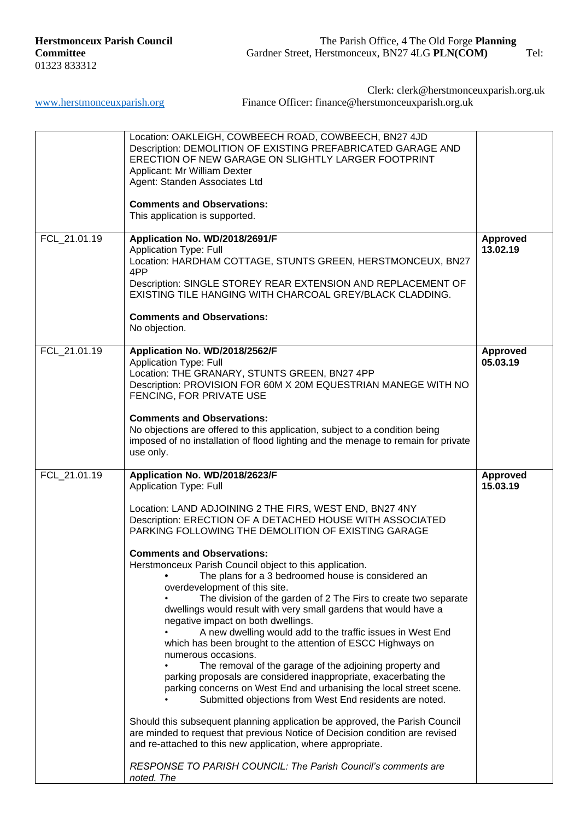|              | Location: OAKLEIGH, COWBEECH ROAD, COWBEECH, BN27 4JD<br>Description: DEMOLITION OF EXISTING PREFABRICATED GARAGE AND<br>ERECTION OF NEW GARAGE ON SLIGHTLY LARGER FOOTPRINT<br>Applicant: Mr William Dexter<br>Agent: Standen Associates Ltd<br><b>Comments and Observations:</b><br>This application is supported.                                                                                                                                                                                                                                                                                                                                                                                                                                                                                                                                                                                                                                                                                                                                                                                                                                                                                                                                                                                                                                 |                             |
|--------------|------------------------------------------------------------------------------------------------------------------------------------------------------------------------------------------------------------------------------------------------------------------------------------------------------------------------------------------------------------------------------------------------------------------------------------------------------------------------------------------------------------------------------------------------------------------------------------------------------------------------------------------------------------------------------------------------------------------------------------------------------------------------------------------------------------------------------------------------------------------------------------------------------------------------------------------------------------------------------------------------------------------------------------------------------------------------------------------------------------------------------------------------------------------------------------------------------------------------------------------------------------------------------------------------------------------------------------------------------|-----------------------------|
| FCL_21.01.19 | Application No. WD/2018/2691/F<br><b>Application Type: Full</b><br>Location: HARDHAM COTTAGE, STUNTS GREEN, HERSTMONCEUX, BN27<br>4PP<br>Description: SINGLE STOREY REAR EXTENSION AND REPLACEMENT OF<br>EXISTING TILE HANGING WITH CHARCOAL GREY/BLACK CLADDING.<br><b>Comments and Observations:</b><br>No objection.                                                                                                                                                                                                                                                                                                                                                                                                                                                                                                                                                                                                                                                                                                                                                                                                                                                                                                                                                                                                                              | <b>Approved</b><br>13.02.19 |
| FCL_21.01.19 | Application No. WD/2018/2562/F<br><b>Application Type: Full</b><br>Location: THE GRANARY, STUNTS GREEN, BN27 4PP<br>Description: PROVISION FOR 60M X 20M EQUESTRIAN MANEGE WITH NO<br>FENCING, FOR PRIVATE USE<br><b>Comments and Observations:</b><br>No objections are offered to this application, subject to a condition being<br>imposed of no installation of flood lighting and the menage to remain for private<br>use only.                                                                                                                                                                                                                                                                                                                                                                                                                                                                                                                                                                                                                                                                                                                                                                                                                                                                                                                 | <b>Approved</b><br>05.03.19 |
| FCL_21.01.19 | Application No. WD/2018/2623/F<br><b>Application Type: Full</b><br>Location: LAND ADJOINING 2 THE FIRS, WEST END, BN27 4NY<br>Description: ERECTION OF A DETACHED HOUSE WITH ASSOCIATED<br>PARKING FOLLOWING THE DEMOLITION OF EXISTING GARAGE<br><b>Comments and Observations:</b><br>Herstmonceux Parish Council object to this application.<br>The plans for a 3 bedroomed house is considered an<br>overdevelopment of this site.<br>The division of the garden of 2 The Firs to create two separate<br>dwellings would result with very small gardens that would have a<br>negative impact on both dwellings.<br>A new dwelling would add to the traffic issues in West End<br>which has been brought to the attention of ESCC Highways on<br>numerous occasions.<br>The removal of the garage of the adjoining property and<br>parking proposals are considered inappropriate, exacerbating the<br>parking concerns on West End and urbanising the local street scene.<br>Submitted objections from West End residents are noted.<br>Should this subsequent planning application be approved, the Parish Council<br>are minded to request that previous Notice of Decision condition are revised<br>and re-attached to this new application, where appropriate.<br>RESPONSE TO PARISH COUNCIL: The Parish Council's comments are<br>noted. The | <b>Approved</b><br>15.03.19 |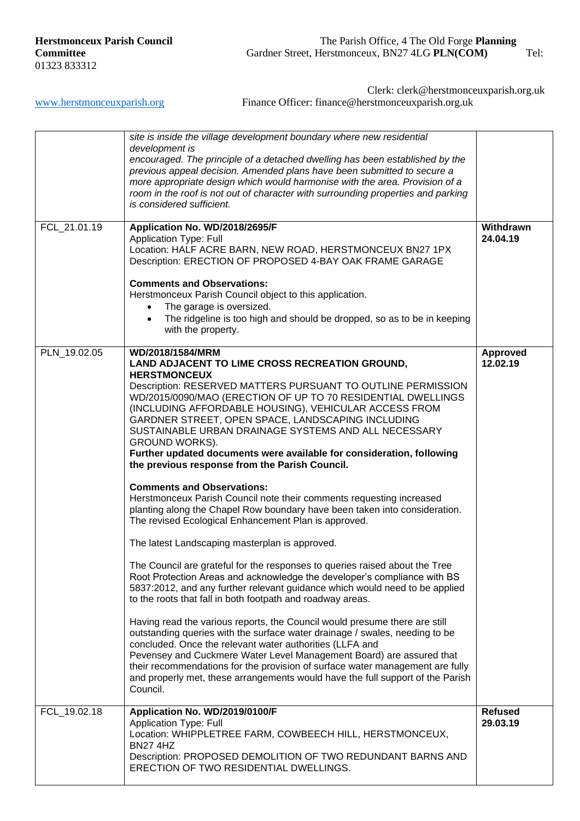Clerk: clerk@herstmonceuxparish.org.uk

[www.herstmonceuxparish.org](http://www.herstmonceuxparish.org/) Finance Officer: finance@herstmonceuxparish.org.uk

|              | site is inside the village development boundary where new residential<br>development is<br>encouraged. The principle of a detached dwelling has been established by the<br>previous appeal decision. Amended plans have been submitted to secure a<br>more appropriate design which would harmonise with the area. Provision of a<br>room in the roof is not out of character with surrounding properties and parking                                                                                                                                                                                                                                                                                                                                                                                                                                                                                                                                                                                                                                                                              |                             |
|--------------|----------------------------------------------------------------------------------------------------------------------------------------------------------------------------------------------------------------------------------------------------------------------------------------------------------------------------------------------------------------------------------------------------------------------------------------------------------------------------------------------------------------------------------------------------------------------------------------------------------------------------------------------------------------------------------------------------------------------------------------------------------------------------------------------------------------------------------------------------------------------------------------------------------------------------------------------------------------------------------------------------------------------------------------------------------------------------------------------------|-----------------------------|
|              | is considered sufficient.                                                                                                                                                                                                                                                                                                                                                                                                                                                                                                                                                                                                                                                                                                                                                                                                                                                                                                                                                                                                                                                                          |                             |
| FCL_21.01.19 | Application No. WD/2018/2695/F<br><b>Application Type: Full</b><br>Location: HALF ACRE BARN, NEW ROAD, HERSTMONCEUX BN27 1PX<br>Description: ERECTION OF PROPOSED 4-BAY OAK FRAME GARAGE                                                                                                                                                                                                                                                                                                                                                                                                                                                                                                                                                                                                                                                                                                                                                                                                                                                                                                           | Withdrawn<br>24.04.19       |
|              | <b>Comments and Observations:</b><br>Herstmonceux Parish Council object to this application.<br>The garage is oversized.<br>The ridgeline is too high and should be dropped, so as to be in keeping<br>$\bullet$<br>with the property.                                                                                                                                                                                                                                                                                                                                                                                                                                                                                                                                                                                                                                                                                                                                                                                                                                                             |                             |
| PLN_19.02.05 | WD/2018/1584/MRM<br>LAND ADJACENT TO LIME CROSS RECREATION GROUND,<br><b>HERSTMONCEUX</b><br>Description: RESERVED MATTERS PURSUANT TO OUTLINE PERMISSION<br>WD/2015/0090/MAO (ERECTION OF UP TO 70 RESIDENTIAL DWELLINGS<br>(INCLUDING AFFORDABLE HOUSING), VEHICULAR ACCESS FROM<br>GARDNER STREET, OPEN SPACE, LANDSCAPING INCLUDING<br>SUSTAINABLE URBAN DRAINAGE SYSTEMS AND ALL NECESSARY<br><b>GROUND WORKS).</b><br>Further updated documents were available for consideration, following<br>the previous response from the Parish Council.<br><b>Comments and Observations:</b><br>Herstmonceux Parish Council note their comments requesting increased<br>planting along the Chapel Row boundary have been taken into consideration.<br>The revised Ecological Enhancement Plan is approved.<br>The latest Landscaping masterplan is approved.<br>The Council are grateful for the responses to queries raised about the Tree<br>Root Protection Areas and acknowledge the developer's compliance with BS<br>5837:2012, and any further relevant guidance which would need to be applied | <b>Approved</b><br>12.02.19 |
|              | to the roots that fall in both footpath and roadway areas.<br>Having read the various reports, the Council would presume there are still<br>outstanding queries with the surface water drainage / swales, needing to be<br>concluded. Once the relevant water authorities (LLFA and<br>Pevensey and Cuckmere Water Level Management Board) are assured that<br>their recommendations for the provision of surface water management are fully<br>and properly met, these arrangements would have the full support of the Parish<br>Council.                                                                                                                                                                                                                                                                                                                                                                                                                                                                                                                                                         |                             |
| FCL_19.02.18 | Application No. WD/2019/0100/F<br><b>Application Type: Full</b><br>Location: WHIPPLETREE FARM, COWBEECH HILL, HERSTMONCEUX,<br><b>BN27 4HZ</b><br>Description: PROPOSED DEMOLITION OF TWO REDUNDANT BARNS AND<br>ERECTION OF TWO RESIDENTIAL DWELLINGS.                                                                                                                                                                                                                                                                                                                                                                                                                                                                                                                                                                                                                                                                                                                                                                                                                                            | <b>Refused</b><br>29.03.19  |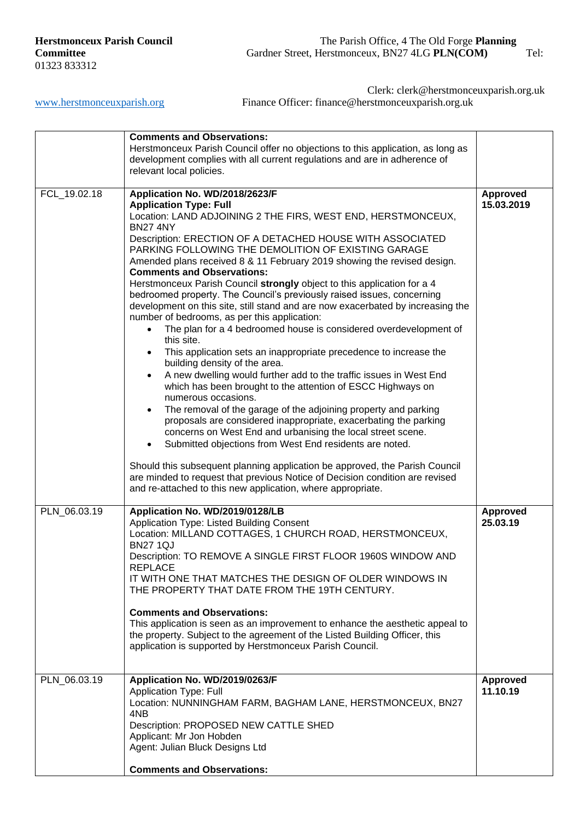Clerk: clerk@herstmonceuxparish.org.uk

[www.herstmonceuxparish.org](http://www.herstmonceuxparish.org/) Finance Officer: finance@herstmonceuxparish.org.uk

|              | <b>Comments and Observations:</b><br>Herstmonceux Parish Council offer no objections to this application, as long as<br>development complies with all current regulations and are in adherence of<br>relevant local policies.                                                                                                                                                                                                                                                                                                                                                                                                                                                                                                                                                                                                                                                                                                                                                                                                                                                                                                                                                                                                                                                                                                                                                                                                                                                                                                                                             |                               |
|--------------|---------------------------------------------------------------------------------------------------------------------------------------------------------------------------------------------------------------------------------------------------------------------------------------------------------------------------------------------------------------------------------------------------------------------------------------------------------------------------------------------------------------------------------------------------------------------------------------------------------------------------------------------------------------------------------------------------------------------------------------------------------------------------------------------------------------------------------------------------------------------------------------------------------------------------------------------------------------------------------------------------------------------------------------------------------------------------------------------------------------------------------------------------------------------------------------------------------------------------------------------------------------------------------------------------------------------------------------------------------------------------------------------------------------------------------------------------------------------------------------------------------------------------------------------------------------------------|-------------------------------|
| FCL_19.02.18 | Application No. WD/2018/2623/F<br><b>Application Type: Full</b><br>Location: LAND ADJOINING 2 THE FIRS, WEST END, HERSTMONCEUX,<br><b>BN27 4NY</b><br>Description: ERECTION OF A DETACHED HOUSE WITH ASSOCIATED<br>PARKING FOLLOWING THE DEMOLITION OF EXISTING GARAGE<br>Amended plans received 8 & 11 February 2019 showing the revised design.<br><b>Comments and Observations:</b><br>Herstmonceux Parish Council strongly object to this application for a 4<br>bedroomed property. The Council's previously raised issues, concerning<br>development on this site, still stand and are now exacerbated by increasing the<br>number of bedrooms, as per this application:<br>The plan for a 4 bedroomed house is considered overdevelopment of<br>this site.<br>This application sets an inappropriate precedence to increase the<br>building density of the area.<br>A new dwelling would further add to the traffic issues in West End<br>$\bullet$<br>which has been brought to the attention of ESCC Highways on<br>numerous occasions.<br>The removal of the garage of the adjoining property and parking<br>$\bullet$<br>proposals are considered inappropriate, exacerbating the parking<br>concerns on West End and urbanising the local street scene.<br>Submitted objections from West End residents are noted.<br>$\bullet$<br>Should this subsequent planning application be approved, the Parish Council<br>are minded to request that previous Notice of Decision condition are revised<br>and re-attached to this new application, where appropriate. | <b>Approved</b><br>15.03.2019 |
| PLN_06.03.19 | Application No. WD/2019/0128/LB<br>Application Type: Listed Building Consent<br>Location: MILLAND COTTAGES, 1 CHURCH ROAD, HERSTMONCEUX,<br><b>BN27 1QJ</b><br>Description: TO REMOVE A SINGLE FIRST FLOOR 1960S WINDOW AND<br><b>REPLACE</b><br>IT WITH ONE THAT MATCHES THE DESIGN OF OLDER WINDOWS IN<br>THE PROPERTY THAT DATE FROM THE 19TH CENTURY.<br><b>Comments and Observations:</b><br>This application is seen as an improvement to enhance the aesthetic appeal to<br>the property. Subject to the agreement of the Listed Building Officer, this<br>application is supported by Herstmonceux Parish Council.                                                                                                                                                                                                                                                                                                                                                                                                                                                                                                                                                                                                                                                                                                                                                                                                                                                                                                                                                | <b>Approved</b><br>25.03.19   |
| PLN 06.03.19 | Application No. WD/2019/0263/F<br><b>Application Type: Full</b><br>Location: NUNNINGHAM FARM, BAGHAM LANE, HERSTMONCEUX, BN27<br>4NB<br>Description: PROPOSED NEW CATTLE SHED<br>Applicant: Mr Jon Hobden<br>Agent: Julian Bluck Designs Ltd<br><b>Comments and Observations:</b>                                                                                                                                                                                                                                                                                                                                                                                                                                                                                                                                                                                                                                                                                                                                                                                                                                                                                                                                                                                                                                                                                                                                                                                                                                                                                         | Approved<br>11.10.19          |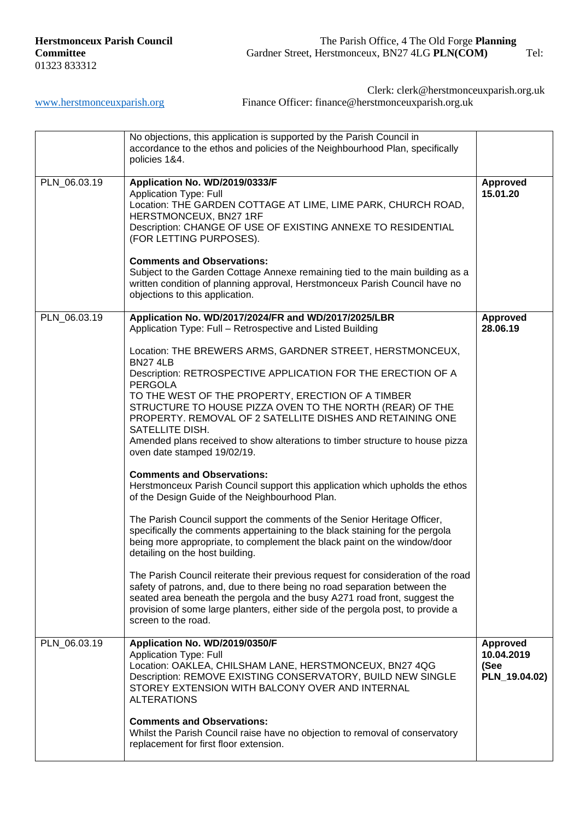[www.herstmonceuxparish.org](http://www.herstmonceuxparish.org/) Finance Officer: finance@herstmonceuxparish.org.uk

Clerk: clerk@herstmonceuxparish.org.uk

|              | No objections, this application is supported by the Parish Council in<br>accordance to the ethos and policies of the Neighbourhood Plan, specifically<br>policies 1&4.                                                                                                                                                                                                                                                                                                                                                                                                                                                                                                                                                                                                                                                                                                                                                                                                                                                                                                                                                                                                                                                                                                                                                                                                                                          |                                                        |
|--------------|-----------------------------------------------------------------------------------------------------------------------------------------------------------------------------------------------------------------------------------------------------------------------------------------------------------------------------------------------------------------------------------------------------------------------------------------------------------------------------------------------------------------------------------------------------------------------------------------------------------------------------------------------------------------------------------------------------------------------------------------------------------------------------------------------------------------------------------------------------------------------------------------------------------------------------------------------------------------------------------------------------------------------------------------------------------------------------------------------------------------------------------------------------------------------------------------------------------------------------------------------------------------------------------------------------------------------------------------------------------------------------------------------------------------|--------------------------------------------------------|
| PLN_06.03.19 | Application No. WD/2019/0333/F<br><b>Application Type: Full</b><br>Location: THE GARDEN COTTAGE AT LIME, LIME PARK, CHURCH ROAD,<br>HERSTMONCEUX, BN27 1RF<br>Description: CHANGE OF USE OF EXISTING ANNEXE TO RESIDENTIAL<br>(FOR LETTING PURPOSES).<br><b>Comments and Observations:</b><br>Subject to the Garden Cottage Annexe remaining tied to the main building as a<br>written condition of planning approval, Herstmonceux Parish Council have no<br>objections to this application.                                                                                                                                                                                                                                                                                                                                                                                                                                                                                                                                                                                                                                                                                                                                                                                                                                                                                                                   | <b>Approved</b><br>15.01.20                            |
| PLN_06.03.19 | Application No. WD/2017/2024/FR and WD/2017/2025/LBR<br>Application Type: Full - Retrospective and Listed Building<br>Location: THE BREWERS ARMS, GARDNER STREET, HERSTMONCEUX,<br><b>BN27 4LB</b><br>Description: RETROSPECTIVE APPLICATION FOR THE ERECTION OF A<br><b>PERGOLA</b><br>TO THE WEST OF THE PROPERTY, ERECTION OF A TIMBER<br>STRUCTURE TO HOUSE PIZZA OVEN TO THE NORTH (REAR) OF THE<br>PROPERTY. REMOVAL OF 2 SATELLITE DISHES AND RETAINING ONE<br>SATELLITE DISH.<br>Amended plans received to show alterations to timber structure to house pizza<br>oven date stamped 19/02/19.<br><b>Comments and Observations:</b><br>Herstmonceux Parish Council support this application which upholds the ethos<br>of the Design Guide of the Neighbourhood Plan.<br>The Parish Council support the comments of the Senior Heritage Officer,<br>specifically the comments appertaining to the black staining for the pergola<br>being more appropriate, to complement the black paint on the window/door<br>detailing on the host building.<br>The Parish Council reiterate their previous request for consideration of the road<br>safety of patrons, and, due to there being no road separation between the<br>seated area beneath the pergola and the busy A271 road front, suggest the<br>provision of some large planters, either side of the pergola post, to provide a<br>screen to the road. | <b>Approved</b><br>28.06.19                            |
| PLN_06.03.19 | Application No. WD/2019/0350/F<br><b>Application Type: Full</b><br>Location: OAKLEA, CHILSHAM LANE, HERSTMONCEUX, BN27 4QG<br>Description: REMOVE EXISTING CONSERVATORY, BUILD NEW SINGLE<br>STOREY EXTENSION WITH BALCONY OVER AND INTERNAL<br><b>ALTERATIONS</b><br><b>Comments and Observations:</b><br>Whilst the Parish Council raise have no objection to removal of conservatory<br>replacement for first floor extension.                                                                                                                                                                                                                                                                                                                                                                                                                                                                                                                                                                                                                                                                                                                                                                                                                                                                                                                                                                               | <b>Approved</b><br>10.04.2019<br>(See<br>PLN_19.04.02) |
|              |                                                                                                                                                                                                                                                                                                                                                                                                                                                                                                                                                                                                                                                                                                                                                                                                                                                                                                                                                                                                                                                                                                                                                                                                                                                                                                                                                                                                                 |                                                        |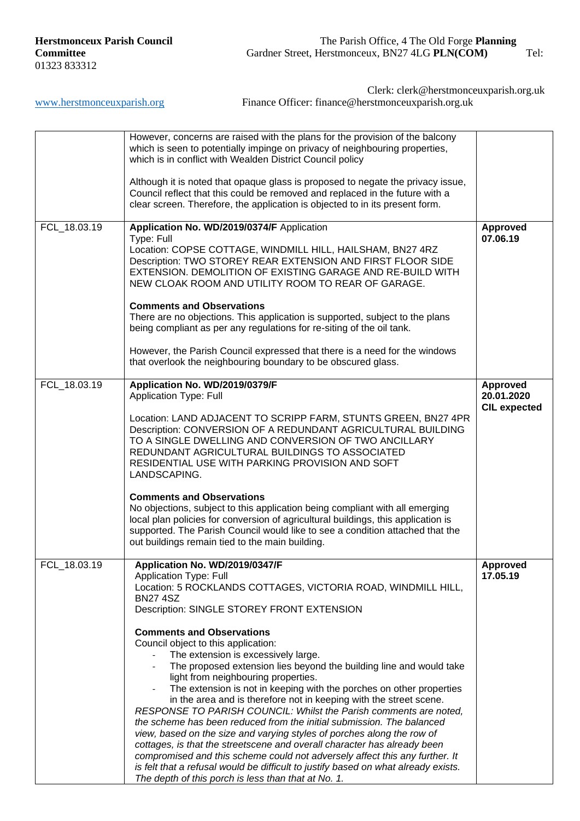|              | However, concerns are raised with the plans for the provision of the balcony<br>which is seen to potentially impinge on privacy of neighbouring properties,<br>which is in conflict with Wealden District Council policy                                                                                                                                                                                                                                                                                                                                                                                                                                                                                                                                                                                                                                                                                   |                                                      |
|--------------|------------------------------------------------------------------------------------------------------------------------------------------------------------------------------------------------------------------------------------------------------------------------------------------------------------------------------------------------------------------------------------------------------------------------------------------------------------------------------------------------------------------------------------------------------------------------------------------------------------------------------------------------------------------------------------------------------------------------------------------------------------------------------------------------------------------------------------------------------------------------------------------------------------|------------------------------------------------------|
|              | Although it is noted that opaque glass is proposed to negate the privacy issue,<br>Council reflect that this could be removed and replaced in the future with a<br>clear screen. Therefore, the application is objected to in its present form.                                                                                                                                                                                                                                                                                                                                                                                                                                                                                                                                                                                                                                                            |                                                      |
| FCL 18.03.19 | Application No. WD/2019/0374/F Application<br>Type: Full<br>Location: COPSE COTTAGE, WINDMILL HILL, HAILSHAM, BN27 4RZ<br>Description: TWO STOREY REAR EXTENSION AND FIRST FLOOR SIDE<br>EXTENSION. DEMOLITION OF EXISTING GARAGE AND RE-BUILD WITH<br>NEW CLOAK ROOM AND UTILITY ROOM TO REAR OF GARAGE.<br><b>Comments and Observations</b><br>There are no objections. This application is supported, subject to the plans                                                                                                                                                                                                                                                                                                                                                                                                                                                                              | <b>Approved</b><br>07.06.19                          |
|              | being compliant as per any regulations for re-siting of the oil tank.<br>However, the Parish Council expressed that there is a need for the windows<br>that overlook the neighbouring boundary to be obscured glass.                                                                                                                                                                                                                                                                                                                                                                                                                                                                                                                                                                                                                                                                                       |                                                      |
| FCL_18.03.19 | Application No. WD/2019/0379/F<br><b>Application Type: Full</b>                                                                                                                                                                                                                                                                                                                                                                                                                                                                                                                                                                                                                                                                                                                                                                                                                                            | <b>Approved</b><br>20.01.2020<br><b>CIL expected</b> |
|              | Location: LAND ADJACENT TO SCRIPP FARM, STUNTS GREEN, BN27 4PR<br>Description: CONVERSION OF A REDUNDANT AGRICULTURAL BUILDING<br>TO A SINGLE DWELLING AND CONVERSION OF TWO ANCILLARY<br>REDUNDANT AGRICULTURAL BUILDINGS TO ASSOCIATED<br>RESIDENTIAL USE WITH PARKING PROVISION AND SOFT<br>LANDSCAPING.                                                                                                                                                                                                                                                                                                                                                                                                                                                                                                                                                                                                |                                                      |
|              | <b>Comments and Observations</b><br>No objections, subject to this application being compliant with all emerging<br>local plan policies for conversion of agricultural buildings, this application is<br>supported. The Parish Council would like to see a condition attached that the<br>out buildings remain tied to the main building.                                                                                                                                                                                                                                                                                                                                                                                                                                                                                                                                                                  |                                                      |
| FCL_18.03.19 | Application No. WD/2019/0347/F<br>Application Type: Full<br>Location: 5 ROCKLANDS COTTAGES, VICTORIA ROAD, WINDMILL HILL,<br><b>BN27 4SZ</b><br>Description: SINGLE STOREY FRONT EXTENSION                                                                                                                                                                                                                                                                                                                                                                                                                                                                                                                                                                                                                                                                                                                 | <b>Approved</b><br>17.05.19                          |
|              | <b>Comments and Observations</b><br>Council object to this application:<br>The extension is excessively large.<br>The proposed extension lies beyond the building line and would take<br>light from neighbouring properties.<br>The extension is not in keeping with the porches on other properties<br>in the area and is therefore not in keeping with the street scene.<br>RESPONSE TO PARISH COUNCIL: Whilst the Parish comments are noted,<br>the scheme has been reduced from the initial submission. The balanced<br>view, based on the size and varying styles of porches along the row of<br>cottages, is that the streetscene and overall character has already been<br>compromised and this scheme could not adversely affect this any further. It<br>is felt that a refusal would be difficult to justify based on what already exists.<br>The depth of this porch is less than that at No. 1. |                                                      |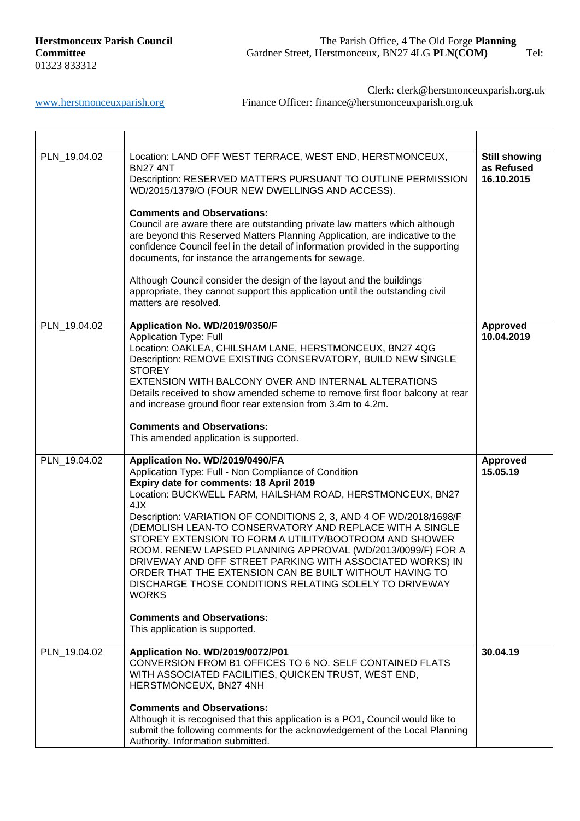[www.herstmonceuxparish.org](http://www.herstmonceuxparish.org/) Finance Officer: finance@herstmonceuxparish.org.uk

Clerk: clerk@herstmonceuxparish.org.uk

| PLN_19.04.02 | Location: LAND OFF WEST TERRACE, WEST END, HERSTMONCEUX,<br><b>BN27 4NT</b><br>Description: RESERVED MATTERS PURSUANT TO OUTLINE PERMISSION<br>WD/2015/1379/O (FOUR NEW DWELLINGS AND ACCESS).<br><b>Comments and Observations:</b><br>Council are aware there are outstanding private law matters which although<br>are beyond this Reserved Matters Planning Application, are indicative to the<br>confidence Council feel in the detail of information provided in the supporting<br>documents, for instance the arrangements for sewage.<br>Although Council consider the design of the layout and the buildings<br>appropriate, they cannot support this application until the outstanding civil<br>matters are resolved.              | <b>Still showing</b><br>as Refused<br>16.10.2015 |
|--------------|---------------------------------------------------------------------------------------------------------------------------------------------------------------------------------------------------------------------------------------------------------------------------------------------------------------------------------------------------------------------------------------------------------------------------------------------------------------------------------------------------------------------------------------------------------------------------------------------------------------------------------------------------------------------------------------------------------------------------------------------|--------------------------------------------------|
| PLN 19.04.02 | Application No. WD/2019/0350/F<br><b>Application Type: Full</b><br>Location: OAKLEA, CHILSHAM LANE, HERSTMONCEUX, BN27 4QG<br>Description: REMOVE EXISTING CONSERVATORY, BUILD NEW SINGLE<br><b>STOREY</b><br>EXTENSION WITH BALCONY OVER AND INTERNAL ALTERATIONS<br>Details received to show amended scheme to remove first floor balcony at rear<br>and increase ground floor rear extension from 3.4m to 4.2m.<br><b>Comments and Observations:</b><br>This amended application is supported.                                                                                                                                                                                                                                           | <b>Approved</b><br>10.04.2019                    |
| PLN_19.04.02 | Application No. WD/2019/0490/FA<br>Application Type: Full - Non Compliance of Condition<br>Expiry date for comments: 18 April 2019<br>Location: BUCKWELL FARM, HAILSHAM ROAD, HERSTMONCEUX, BN27<br>4JX<br>Description: VARIATION OF CONDITIONS 2, 3, AND 4 OF WD/2018/1698/F<br>(DEMOLISH LEAN-TO CONSERVATORY AND REPLACE WITH A SINGLE<br>STOREY EXTENSION TO FORM A UTILITY/BOOTROOM AND SHOWER<br>ROOM. RENEW LAPSED PLANNING APPROVAL (WD/2013/0099/F) FOR A<br>DRIVEWAY AND OFF STREET PARKING WITH ASSOCIATED WORKS) IN<br>ORDER THAT THE EXTENSION CAN BE BUILT WITHOUT HAVING TO<br>DISCHARGE THOSE CONDITIONS RELATING SOLELY TO DRIVEWAY<br><b>WORKS</b><br><b>Comments and Observations:</b><br>This application is supported. | <b>Approved</b><br>15.05.19                      |
| PLN_19.04.02 | Application No. WD/2019/0072/P01<br>CONVERSION FROM B1 OFFICES TO 6 NO. SELF CONTAINED FLATS<br>WITH ASSOCIATED FACILITIES, QUICKEN TRUST, WEST END,<br>HERSTMONCEUX, BN27 4NH<br><b>Comments and Observations:</b><br>Although it is recognised that this application is a PO1, Council would like to<br>submit the following comments for the acknowledgement of the Local Planning<br>Authority. Information submitted.                                                                                                                                                                                                                                                                                                                  | 30.04.19                                         |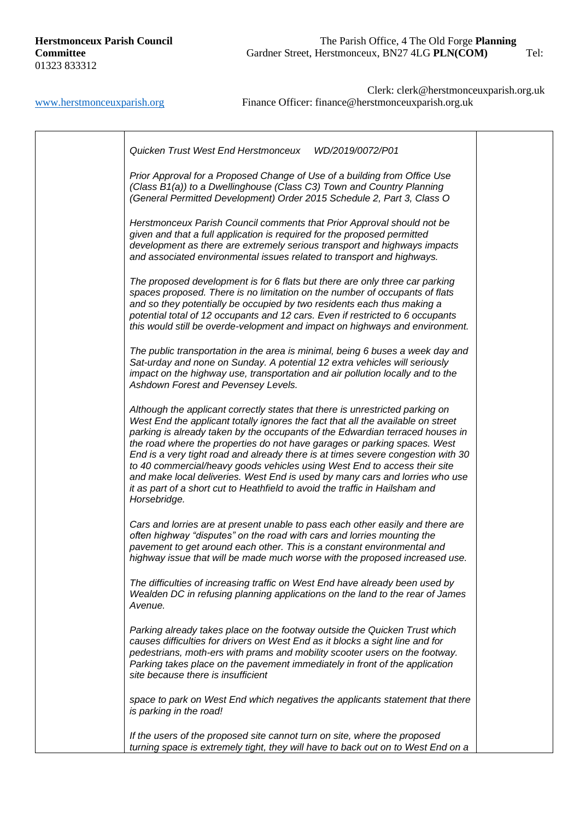# **Herstmonceux Parish Council** The Parish Office, 4 The Old Forge **Planning**  Committee Gardner Street, Herstmonceux, BN27 4LG PLN(COM) Tel:

| Prior Approval for a Proposed Change of Use of a building from Office Use<br>(Class B1(a)) to a Dwellinghouse (Class C3) Town and Country Planning<br>(General Permitted Development) Order 2015 Schedule 2, Part 3, Class O                                                                                                                                                                                                                                                                                                                                                                                                                                                     |  |
|----------------------------------------------------------------------------------------------------------------------------------------------------------------------------------------------------------------------------------------------------------------------------------------------------------------------------------------------------------------------------------------------------------------------------------------------------------------------------------------------------------------------------------------------------------------------------------------------------------------------------------------------------------------------------------|--|
| Herstmonceux Parish Council comments that Prior Approval should not be<br>given and that a full application is required for the proposed permitted<br>development as there are extremely serious transport and highways impacts<br>and associated environmental issues related to transport and highways.                                                                                                                                                                                                                                                                                                                                                                        |  |
| The proposed development is for 6 flats but there are only three car parking<br>spaces proposed. There is no limitation on the number of occupants of flats<br>and so they potentially be occupied by two residents each thus making a<br>potential total of 12 occupants and 12 cars. Even if restricted to 6 occupants<br>this would still be overde-velopment and impact on highways and environment.                                                                                                                                                                                                                                                                         |  |
| The public transportation in the area is minimal, being 6 buses a week day and<br>Sat-urday and none on Sunday. A potential 12 extra vehicles will seriously<br>impact on the highway use, transportation and air pollution locally and to the<br>Ashdown Forest and Pevensey Levels.                                                                                                                                                                                                                                                                                                                                                                                            |  |
| Although the applicant correctly states that there is unrestricted parking on<br>West End the applicant totally ignores the fact that all the available on street<br>parking is already taken by the occupants of the Edwardian terraced houses in<br>the road where the properties do not have garages or parking spaces. West<br>End is a very tight road and already there is at times severe congestion with 30<br>to 40 commercial/heavy goods vehicles using West End to access their site<br>and make local deliveries. West End is used by many cars and lorries who use<br>it as part of a short cut to Heathfield to avoid the traffic in Hailsham and<br>Horsebridge. |  |
| Cars and lorries are at present unable to pass each other easily and there are<br>often highway "disputes" on the road with cars and lorries mounting the<br>pavement to get around each other. This is a constant environmental and<br>highway issue that will be made much worse with the proposed increased use.                                                                                                                                                                                                                                                                                                                                                              |  |
| The difficulties of increasing traffic on West End have already been used by<br>Wealden DC in refusing planning applications on the land to the rear of James<br>Avenue.                                                                                                                                                                                                                                                                                                                                                                                                                                                                                                         |  |
| Parking already takes place on the footway outside the Quicken Trust which<br>causes difficulties for drivers on West End as it blocks a sight line and for<br>pedestrians, moth-ers with prams and mobility scooter users on the footway.<br>Parking takes place on the pavement immediately in front of the application<br>site because there is insufficient                                                                                                                                                                                                                                                                                                                  |  |
| space to park on West End which negatives the applicants statement that there<br>is parking in the road!                                                                                                                                                                                                                                                                                                                                                                                                                                                                                                                                                                         |  |
| If the users of the proposed site cannot turn on site, where the proposed<br>turning space is extremely tight, they will have to back out on to West End on a                                                                                                                                                                                                                                                                                                                                                                                                                                                                                                                    |  |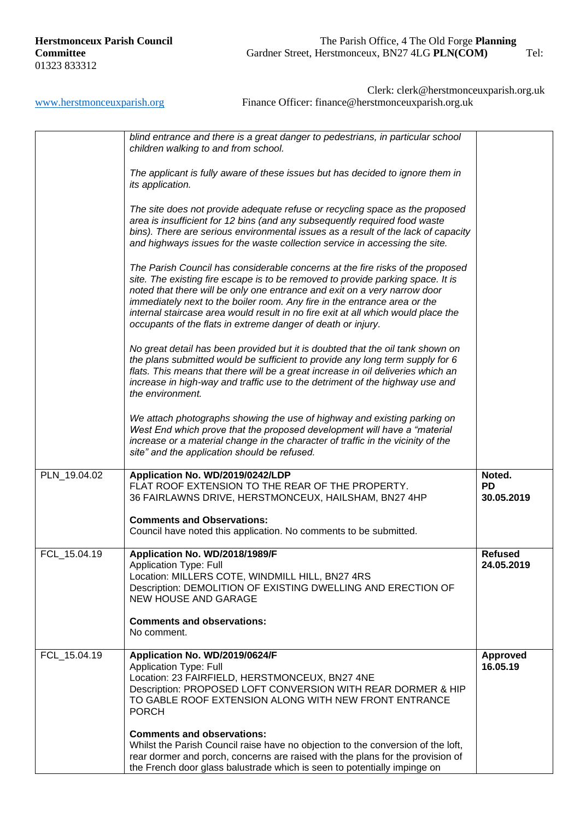|              | blind entrance and there is a great danger to pedestrians, in particular school<br>children walking to and from school.                                                                                                                                                                                                                                                                                                                                                          |                                   |
|--------------|----------------------------------------------------------------------------------------------------------------------------------------------------------------------------------------------------------------------------------------------------------------------------------------------------------------------------------------------------------------------------------------------------------------------------------------------------------------------------------|-----------------------------------|
|              | The applicant is fully aware of these issues but has decided to ignore them in<br>its application.                                                                                                                                                                                                                                                                                                                                                                               |                                   |
|              | The site does not provide adequate refuse or recycling space as the proposed<br>area is insufficient for 12 bins (and any subsequently required food waste<br>bins). There are serious environmental issues as a result of the lack of capacity<br>and highways issues for the waste collection service in accessing the site.                                                                                                                                                   |                                   |
|              | The Parish Council has considerable concerns at the fire risks of the proposed<br>site. The existing fire escape is to be removed to provide parking space. It is<br>noted that there will be only one entrance and exit on a very narrow door<br>immediately next to the boiler room. Any fire in the entrance area or the<br>internal staircase area would result in no fire exit at all which would place the<br>occupants of the flats in extreme danger of death or injury. |                                   |
|              | No great detail has been provided but it is doubted that the oil tank shown on<br>the plans submitted would be sufficient to provide any long term supply for 6<br>flats. This means that there will be a great increase in oil deliveries which an<br>increase in high-way and traffic use to the detriment of the highway use and<br>the environment.                                                                                                                          |                                   |
|              | We attach photographs showing the use of highway and existing parking on<br>West End which prove that the proposed development will have a "material<br>increase or a material change in the character of traffic in the vicinity of the<br>site" and the application should be refused.                                                                                                                                                                                         |                                   |
| PLN_19.04.02 | Application No. WD/2019/0242/LDP<br>FLAT ROOF EXTENSION TO THE REAR OF THE PROPERTY.<br>36 FAIRLAWNS DRIVE, HERSTMONCEUX, HAILSHAM, BN27 4HP                                                                                                                                                                                                                                                                                                                                     | Noted.<br><b>PD</b><br>30.05.2019 |
|              | <b>Comments and Observations:</b><br>Council have noted this application. No comments to be submitted.                                                                                                                                                                                                                                                                                                                                                                           |                                   |
| FCL 15.04.19 | Application No. WD/2018/1989/F<br><b>Application Type: Full</b><br>Location: MILLERS COTE, WINDMILL HILL, BN27 4RS<br>Description: DEMOLITION OF EXISTING DWELLING AND ERECTION OF<br><b>NEW HOUSE AND GARAGE</b>                                                                                                                                                                                                                                                                | <b>Refused</b><br>24.05.2019      |
|              | <b>Comments and observations:</b><br>No comment.                                                                                                                                                                                                                                                                                                                                                                                                                                 |                                   |
| FCL_15.04.19 | Application No. WD/2019/0624/F<br><b>Application Type: Full</b><br>Location: 23 FAIRFIELD, HERSTMONCEUX, BN27 4NE<br>Description: PROPOSED LOFT CONVERSION WITH REAR DORMER & HIP<br>TO GABLE ROOF EXTENSION ALONG WITH NEW FRONT ENTRANCE<br><b>PORCH</b>                                                                                                                                                                                                                       | <b>Approved</b><br>16.05.19       |
|              | <b>Comments and observations:</b><br>Whilst the Parish Council raise have no objection to the conversion of the loft,<br>rear dormer and porch, concerns are raised with the plans for the provision of<br>the French door glass balustrade which is seen to potentially impinge on                                                                                                                                                                                              |                                   |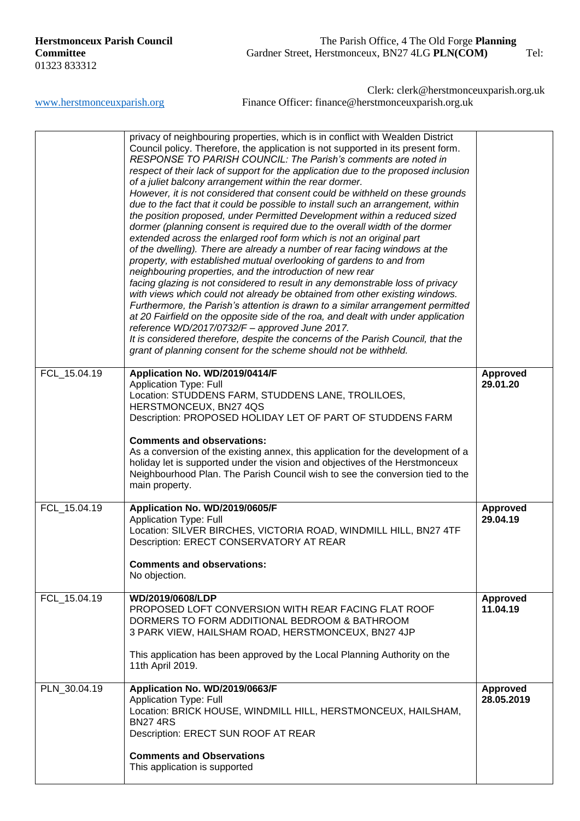|              | privacy of neighbouring properties, which is in conflict with Wealden District<br>Council policy. Therefore, the application is not supported in its present form.<br>RESPONSE TO PARISH COUNCIL: The Parish's comments are noted in<br>respect of their lack of support for the application due to the proposed inclusion<br>of a juliet balcony arrangement within the rear dormer.<br>However, it is not considered that consent could be withheld on these grounds<br>due to the fact that it could be possible to install such an arrangement, within<br>the position proposed, under Permitted Development within a reduced sized<br>dormer (planning consent is required due to the overall width of the dormer<br>extended across the enlarged roof form which is not an original part<br>of the dwelling). There are already a number of rear facing windows at the<br>property, with established mutual overlooking of gardens to and from<br>neighbouring properties, and the introduction of new rear<br>facing glazing is not considered to result in any demonstrable loss of privacy<br>with views which could not already be obtained from other existing windows.<br>Furthermore, the Parish's attention is drawn to a similar arrangement permitted<br>at 20 Fairfield on the opposite side of the roa, and dealt with under application<br>reference WD/2017/0732/F - approved June 2017.<br>It is considered therefore, despite the concerns of the Parish Council, that the<br>grant of planning consent for the scheme should not be withheld. |                               |
|--------------|----------------------------------------------------------------------------------------------------------------------------------------------------------------------------------------------------------------------------------------------------------------------------------------------------------------------------------------------------------------------------------------------------------------------------------------------------------------------------------------------------------------------------------------------------------------------------------------------------------------------------------------------------------------------------------------------------------------------------------------------------------------------------------------------------------------------------------------------------------------------------------------------------------------------------------------------------------------------------------------------------------------------------------------------------------------------------------------------------------------------------------------------------------------------------------------------------------------------------------------------------------------------------------------------------------------------------------------------------------------------------------------------------------------------------------------------------------------------------------------------------------------------------------------------------------------------|-------------------------------|
| FCL_15.04.19 | Application No. WD/2019/0414/F<br><b>Application Type: Full</b><br>Location: STUDDENS FARM, STUDDENS LANE, TROLILOES,<br>HERSTMONCEUX, BN27 4QS<br>Description: PROPOSED HOLIDAY LET OF PART OF STUDDENS FARM                                                                                                                                                                                                                                                                                                                                                                                                                                                                                                                                                                                                                                                                                                                                                                                                                                                                                                                                                                                                                                                                                                                                                                                                                                                                                                                                                        | <b>Approved</b><br>29.01.20   |
|              | <b>Comments and observations:</b><br>As a conversion of the existing annex, this application for the development of a<br>holiday let is supported under the vision and objectives of the Herstmonceux<br>Neighbourhood Plan. The Parish Council wish to see the conversion tied to the<br>main property.                                                                                                                                                                                                                                                                                                                                                                                                                                                                                                                                                                                                                                                                                                                                                                                                                                                                                                                                                                                                                                                                                                                                                                                                                                                             |                               |
| FCL_15.04.19 | Application No. WD/2019/0605/F<br><b>Application Type: Full</b><br>Location: SILVER BIRCHES, VICTORIA ROAD, WINDMILL HILL, BN27 4TF<br>Description: ERECT CONSERVATORY AT REAR<br><b>Comments and observations:</b><br>No objection.                                                                                                                                                                                                                                                                                                                                                                                                                                                                                                                                                                                                                                                                                                                                                                                                                                                                                                                                                                                                                                                                                                                                                                                                                                                                                                                                 | <b>Approved</b><br>29.04.19   |
| FCL_15.04.19 | WD/2019/0608/LDP<br>PROPOSED LOFT CONVERSION WITH REAR FACING FLAT ROOF<br>DORMERS TO FORM ADDITIONAL BEDROOM & BATHROOM<br>3 PARK VIEW, HAILSHAM ROAD, HERSTMONCEUX, BN27 4JP<br>This application has been approved by the Local Planning Authority on the<br>11th April 2019.                                                                                                                                                                                                                                                                                                                                                                                                                                                                                                                                                                                                                                                                                                                                                                                                                                                                                                                                                                                                                                                                                                                                                                                                                                                                                      | <b>Approved</b><br>11.04.19   |
| PLN_30.04.19 | Application No. WD/2019/0663/F<br><b>Application Type: Full</b><br>Location: BRICK HOUSE, WINDMILL HILL, HERSTMONCEUX, HAILSHAM,<br><b>BN274RS</b><br>Description: ERECT SUN ROOF AT REAR<br><b>Comments and Observations</b><br>This application is supported                                                                                                                                                                                                                                                                                                                                                                                                                                                                                                                                                                                                                                                                                                                                                                                                                                                                                                                                                                                                                                                                                                                                                                                                                                                                                                       | <b>Approved</b><br>28.05.2019 |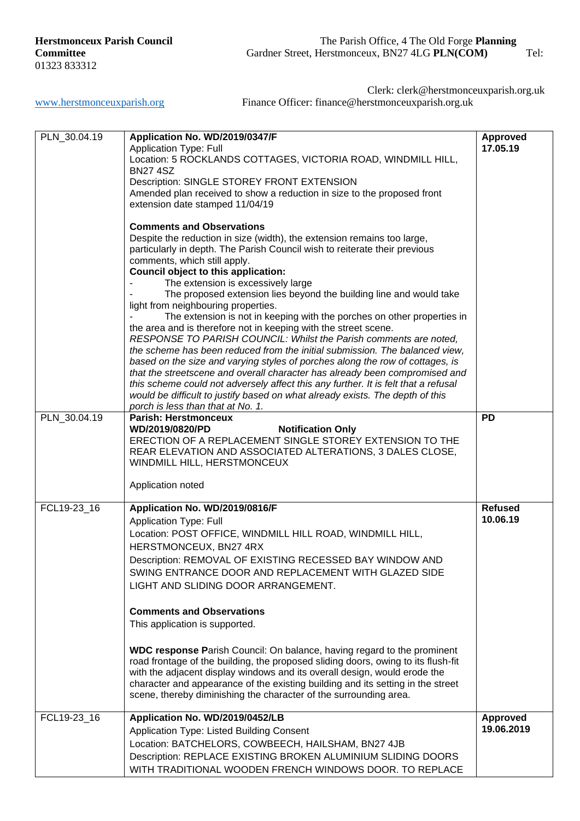Clerk: clerk@herstmonceuxparish.org.uk

[www.herstmonceuxparish.org](http://www.herstmonceuxparish.org/) Finance Officer: finance@herstmonceuxparish.org.uk

| PLN_30.04.19 | Application No. WD/2019/0347/F<br><b>Application Type: Full</b><br>Location: 5 ROCKLANDS COTTAGES, VICTORIA ROAD, WINDMILL HILL,<br><b>BN274SZ</b><br>Description: SINGLE STOREY FRONT EXTENSION<br>Amended plan received to show a reduction in size to the proposed front<br>extension date stamped 11/04/19<br><b>Comments and Observations</b><br>Despite the reduction in size (width), the extension remains too large,<br>particularly in depth. The Parish Council wish to reiterate their previous               | <b>Approved</b><br>17.05.19   |
|--------------|---------------------------------------------------------------------------------------------------------------------------------------------------------------------------------------------------------------------------------------------------------------------------------------------------------------------------------------------------------------------------------------------------------------------------------------------------------------------------------------------------------------------------|-------------------------------|
|              | comments, which still apply.<br>Council object to this application:<br>The extension is excessively large<br>The proposed extension lies beyond the building line and would take<br>light from neighbouring properties.<br>The extension is not in keeping with the porches on other properties in<br>the area and is therefore not in keeping with the street scene.<br>RESPONSE TO PARISH COUNCIL: Whilst the Parish comments are noted,<br>the scheme has been reduced from the initial submission. The balanced view, |                               |
|              | based on the size and varying styles of porches along the row of cottages, is<br>that the streetscene and overall character has already been compromised and<br>this scheme could not adversely affect this any further. It is felt that a refusal<br>would be difficult to justify based on what already exists. The depth of this<br>porch is less than that at No. 1.                                                                                                                                                  |                               |
| PLN_30.04.19 | <b>Parish: Herstmonceux</b><br>WD/2019/0820/PD<br><b>Notification Only</b><br>ERECTION OF A REPLACEMENT SINGLE STOREY EXTENSION TO THE<br>REAR ELEVATION AND ASSOCIATED ALTERATIONS, 3 DALES CLOSE,<br>WINDMILL HILL, HERSTMONCEUX<br>Application noted                                                                                                                                                                                                                                                                   | <b>PD</b>                     |
| FCL19-23 16  | Application No. WD/2019/0816/F<br><b>Application Type: Full</b><br>Location: POST OFFICE, WINDMILL HILL ROAD, WINDMILL HILL,<br>HERSTMONCEUX, BN27 4RX<br>Description: REMOVAL OF EXISTING RECESSED BAY WINDOW AND<br>SWING ENTRANCE DOOR AND REPLACEMENT WITH GLAZED SIDE<br>LIGHT AND SLIDING DOOR ARRANGEMENT.<br><b>Comments and Observations</b><br>This application is supported.                                                                                                                                   | <b>Refused</b><br>10.06.19    |
|              | WDC response Parish Council: On balance, having regard to the prominent<br>road frontage of the building, the proposed sliding doors, owing to its flush-fit<br>with the adjacent display windows and its overall design, would erode the<br>character and appearance of the existing building and its setting in the street<br>scene, thereby diminishing the character of the surrounding area.                                                                                                                         |                               |
| FCL19-23_16  | Application No. WD/2019/0452/LB<br>Application Type: Listed Building Consent<br>Location: BATCHELORS, COWBEECH, HAILSHAM, BN27 4JB<br>Description: REPLACE EXISTING BROKEN ALUMINIUM SLIDING DOORS<br>WITH TRADITIONAL WOODEN FRENCH WINDOWS DOOR. TO REPLACE                                                                                                                                                                                                                                                             | <b>Approved</b><br>19.06.2019 |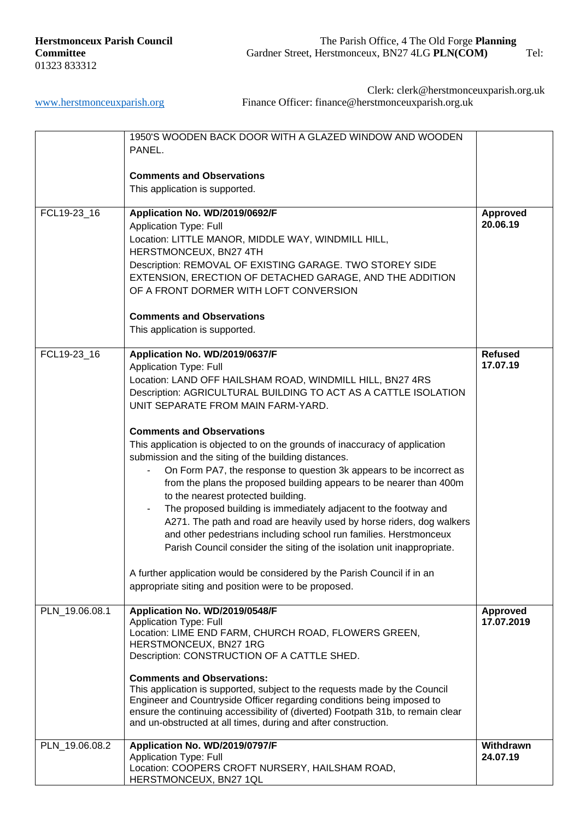|                | 1950'S WOODEN BACK DOOR WITH A GLAZED WINDOW AND WOODEN                         |                 |
|----------------|---------------------------------------------------------------------------------|-----------------|
|                | PANEL.                                                                          |                 |
|                |                                                                                 |                 |
|                | <b>Comments and Observations</b>                                                |                 |
|                | This application is supported.                                                  |                 |
|                |                                                                                 |                 |
| FCL19-23_16    | Application No. WD/2019/0692/F                                                  | <b>Approved</b> |
|                | <b>Application Type: Full</b>                                                   | 20.06.19        |
|                | Location: LITTLE MANOR, MIDDLE WAY, WINDMILL HILL,                              |                 |
|                | HERSTMONCEUX, BN27 4TH                                                          |                 |
|                | Description: REMOVAL OF EXISTING GARAGE. TWO STOREY SIDE                        |                 |
|                | EXTENSION, ERECTION OF DETACHED GARAGE, AND THE ADDITION                        |                 |
|                | OF A FRONT DORMER WITH LOFT CONVERSION                                          |                 |
|                | <b>Comments and Observations</b>                                                |                 |
|                | This application is supported.                                                  |                 |
| FCL19-23_16    | Application No. WD/2019/0637/F                                                  | <b>Refused</b>  |
|                | <b>Application Type: Full</b>                                                   | 17.07.19        |
|                | Location: LAND OFF HAILSHAM ROAD, WINDMILL HILL, BN27 4RS                       |                 |
|                | Description: AGRICULTURAL BUILDING TO ACT AS A CATTLE ISOLATION                 |                 |
|                | UNIT SEPARATE FROM MAIN FARM-YARD.                                              |                 |
|                |                                                                                 |                 |
|                | <b>Comments and Observations</b>                                                |                 |
|                | This application is objected to on the grounds of inaccuracy of application     |                 |
|                | submission and the siting of the building distances.                            |                 |
|                | On Form PA7, the response to question 3k appears to be incorrect as             |                 |
|                | from the plans the proposed building appears to be nearer than 400m             |                 |
|                | to the nearest protected building.                                              |                 |
|                | The proposed building is immediately adjacent to the footway and                |                 |
|                | A271. The path and road are heavily used by horse riders, dog walkers           |                 |
|                | and other pedestrians including school run families. Herstmonceux               |                 |
|                | Parish Council consider the siting of the isolation unit inappropriate.         |                 |
|                |                                                                                 |                 |
|                | A further application would be considered by the Parish Council if in an        |                 |
|                | appropriate siting and position were to be proposed.                            |                 |
| PLN_19.06.08.1 | Application No. WD/2019/0548/F                                                  | <b>Approved</b> |
|                | <b>Application Type: Full</b>                                                   | 17.07.2019      |
|                | Location: LIME END FARM, CHURCH ROAD, FLOWERS GREEN,                            |                 |
|                | HERSTMONCEUX, BN27 1RG                                                          |                 |
|                | Description: CONSTRUCTION OF A CATTLE SHED.                                     |                 |
|                | <b>Comments and Observations:</b>                                               |                 |
|                | This application is supported, subject to the requests made by the Council      |                 |
|                | Engineer and Countryside Officer regarding conditions being imposed to          |                 |
|                | ensure the continuing accessibility of (diverted) Footpath 31b, to remain clear |                 |
|                | and un-obstructed at all times, during and after construction.                  |                 |
| PLN_19.06.08.2 | Application No. WD/2019/0797/F                                                  | Withdrawn       |
|                | <b>Application Type: Full</b>                                                   | 24.07.19        |
|                | Location: COOPERS CROFT NURSERY, HAILSHAM ROAD,                                 |                 |
|                | HERSTMONCEUX, BN27 1QL                                                          |                 |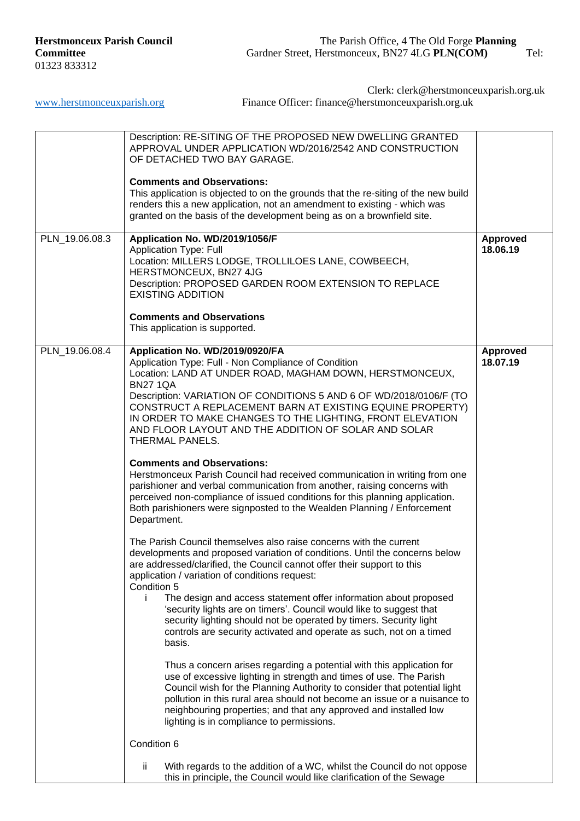| PLN_19.06.08.3 | Description: RE-SITING OF THE PROPOSED NEW DWELLING GRANTED<br>APPROVAL UNDER APPLICATION WD/2016/2542 AND CONSTRUCTION<br>OF DETACHED TWO BAY GARAGE.<br><b>Comments and Observations:</b><br>This application is objected to on the grounds that the re-siting of the new build<br>renders this a new application, not an amendment to existing - which was<br>granted on the basis of the development being as on a brownfield site.<br>Application No. WD/2019/1056/F<br>Application Type: Full<br>Location: MILLERS LODGE, TROLLILOES LANE, COWBEECH,<br>HERSTMONCEUX, BN27 4JG<br>Description: PROPOSED GARDEN ROOM EXTENSION TO REPLACE<br><b>EXISTING ADDITION</b><br><b>Comments and Observations</b><br>This application is supported.                                                                                                                                                                                                                                                                                                                                                                                                                                                                                                                                                                                                                                                                                                                                                                                                                                                                                                                                                                                                                                                                                                                                                                                                                                                                                     | <b>Approved</b><br>18.06.19 |
|----------------|--------------------------------------------------------------------------------------------------------------------------------------------------------------------------------------------------------------------------------------------------------------------------------------------------------------------------------------------------------------------------------------------------------------------------------------------------------------------------------------------------------------------------------------------------------------------------------------------------------------------------------------------------------------------------------------------------------------------------------------------------------------------------------------------------------------------------------------------------------------------------------------------------------------------------------------------------------------------------------------------------------------------------------------------------------------------------------------------------------------------------------------------------------------------------------------------------------------------------------------------------------------------------------------------------------------------------------------------------------------------------------------------------------------------------------------------------------------------------------------------------------------------------------------------------------------------------------------------------------------------------------------------------------------------------------------------------------------------------------------------------------------------------------------------------------------------------------------------------------------------------------------------------------------------------------------------------------------------------------------------------------------------------------------|-----------------------------|
| PLN_19.06.08.4 | Application No. WD/2019/0920/FA<br>Application Type: Full - Non Compliance of Condition<br>Location: LAND AT UNDER ROAD, MAGHAM DOWN, HERSTMONCEUX,<br><b>BN27 1QA</b><br>Description: VARIATION OF CONDITIONS 5 AND 6 OF WD/2018/0106/F (TO<br>CONSTRUCT A REPLACEMENT BARN AT EXISTING EQUINE PROPERTY)<br>IN ORDER TO MAKE CHANGES TO THE LIGHTING, FRONT ELEVATION<br>AND FLOOR LAYOUT AND THE ADDITION OF SOLAR AND SOLAR<br>THERMAL PANELS.<br><b>Comments and Observations:</b><br>Herstmonceux Parish Council had received communication in writing from one<br>parishioner and verbal communication from another, raising concerns with<br>perceived non-compliance of issued conditions for this planning application.<br>Both parishioners were signposted to the Wealden Planning / Enforcement<br>Department.<br>The Parish Council themselves also raise concerns with the current<br>developments and proposed variation of conditions. Until the concerns below<br>are addressed/clarified, the Council cannot offer their support to this<br>application / variation of conditions request:<br>Condition 5<br>The design and access statement offer information about proposed<br>Ť.<br>'security lights are on timers'. Council would like to suggest that<br>security lighting should not be operated by timers. Security light<br>controls are security activated and operate as such, not on a timed<br>basis.<br>Thus a concern arises regarding a potential with this application for<br>use of excessive lighting in strength and times of use. The Parish<br>Council wish for the Planning Authority to consider that potential light<br>pollution in this rural area should not become an issue or a nuisance to<br>neighbouring properties; and that any approved and installed low<br>lighting is in compliance to permissions.<br>Condition 6<br>ij.<br>With regards to the addition of a WC, whilst the Council do not oppose<br>this in principle, the Council would like clarification of the Sewage | Approved<br>18.07.19        |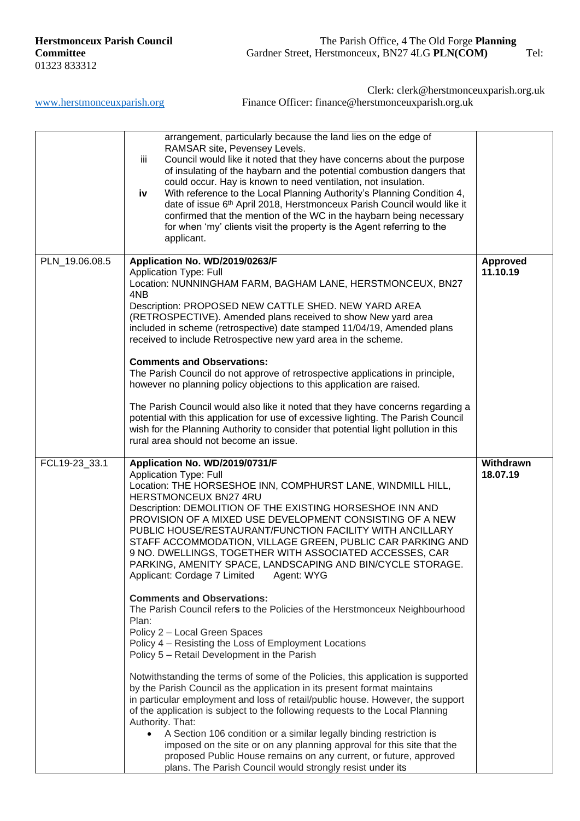[www.herstmonceuxparish.org](http://www.herstmonceuxparish.org/) Finance Officer: finance@herstmonceuxparish.org.uk

Clerk: clerk@herstmonceuxparish.org.uk

|                | arrangement, particularly because the land lies on the edge of<br>RAMSAR site, Pevensey Levels.<br>Council would like it noted that they have concerns about the purpose<br>iii<br>of insulating of the haybarn and the potential combustion dangers that<br>could occur. Hay is known to need ventilation, not insulation.<br>With reference to the Local Planning Authority's Planning Condition 4,<br>iv<br>date of issue 6th April 2018, Herstmonceux Parish Council would like it<br>confirmed that the mention of the WC in the haybarn being necessary<br>for when 'my' clients visit the property is the Agent referring to the<br>applicant.                                                                                                                                                                                                                                                                                                                                                                                                                                                                                                                                                                                                                                                                                                                                                                                                                                                          |                             |
|----------------|----------------------------------------------------------------------------------------------------------------------------------------------------------------------------------------------------------------------------------------------------------------------------------------------------------------------------------------------------------------------------------------------------------------------------------------------------------------------------------------------------------------------------------------------------------------------------------------------------------------------------------------------------------------------------------------------------------------------------------------------------------------------------------------------------------------------------------------------------------------------------------------------------------------------------------------------------------------------------------------------------------------------------------------------------------------------------------------------------------------------------------------------------------------------------------------------------------------------------------------------------------------------------------------------------------------------------------------------------------------------------------------------------------------------------------------------------------------------------------------------------------------|-----------------------------|
| PLN 19.06.08.5 | Application No. WD/2019/0263/F<br><b>Application Type: Full</b><br>Location: NUNNINGHAM FARM, BAGHAM LANE, HERSTMONCEUX, BN27<br>4NB<br>Description: PROPOSED NEW CATTLE SHED. NEW YARD AREA<br>(RETROSPECTIVE). Amended plans received to show New yard area<br>included in scheme (retrospective) date stamped 11/04/19, Amended plans<br>received to include Retrospective new yard area in the scheme.<br><b>Comments and Observations:</b><br>The Parish Council do not approve of retrospective applications in principle,<br>however no planning policy objections to this application are raised.<br>The Parish Council would also like it noted that they have concerns regarding a<br>potential with this application for use of excessive lighting. The Parish Council<br>wish for the Planning Authority to consider that potential light pollution in this<br>rural area should not become an issue.                                                                                                                                                                                                                                                                                                                                                                                                                                                                                                                                                                                              | <b>Approved</b><br>11.10.19 |
| FCL19-23_33.1  | Application No. WD/2019/0731/F<br><b>Application Type: Full</b><br>Location: THE HORSESHOE INN, COMPHURST LANE, WINDMILL HILL,<br>HERSTMONCEUX BN27 4RU<br>Description: DEMOLITION OF THE EXISTING HORSESHOE INN AND<br>PROVISION OF A MIXED USE DEVELOPMENT CONSISTING OF A NEW<br>PUBLIC HOUSE/RESTAURANT/FUNCTION FACILITY WITH ANCILLARY<br>STAFF ACCOMMODATION, VILLAGE GREEN, PUBLIC CAR PARKING AND<br>9 NO. DWELLINGS, TOGETHER WITH ASSOCIATED ACCESSES, CAR<br>PARKING, AMENITY SPACE, LANDSCAPING AND BIN/CYCLE STORAGE.<br>Applicant: Cordage 7 Limited<br>Agent: WYG<br><b>Comments and Observations:</b><br>The Parish Council refers to the Policies of the Herstmonceux Neighbourhood<br>Plan:<br>Policy 2 - Local Green Spaces<br>Policy 4 – Resisting the Loss of Employment Locations<br>Policy 5 - Retail Development in the Parish<br>Notwithstanding the terms of some of the Policies, this application is supported<br>by the Parish Council as the application in its present format maintains<br>in particular employment and loss of retail/public house. However, the support<br>of the application is subject to the following requests to the Local Planning<br>Authority. That:<br>A Section 106 condition or a similar legally binding restriction is<br>$\bullet$<br>imposed on the site or on any planning approval for this site that the<br>proposed Public House remains on any current, or future, approved<br>plans. The Parish Council would strongly resist under its | Withdrawn<br>18.07.19       |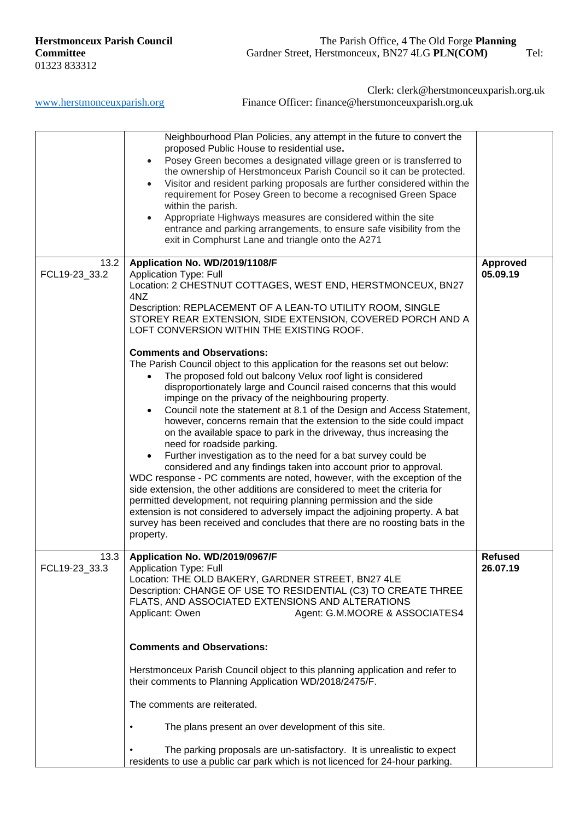Clerk: clerk@herstmonceuxparish.org.uk

[www.herstmonceuxparish.org](http://www.herstmonceuxparish.org/) Finance Officer: finance@herstmonceuxparish.org.uk

|                       | Neighbourhood Plan Policies, any attempt in the future to convert the<br>proposed Public House to residential use.<br>Posey Green becomes a designated village green or is transferred to<br>$\bullet$<br>the ownership of Herstmonceux Parish Council so it can be protected.<br>Visitor and resident parking proposals are further considered within the<br>$\bullet$<br>requirement for Posey Green to become a recognised Green Space<br>within the parish.<br>Appropriate Highways measures are considered within the site<br>$\bullet$<br>entrance and parking arrangements, to ensure safe visibility from the<br>exit in Comphurst Lane and triangle onto the A271                                                                                                                                                                                                                                                                                                                                                                                                                                                                                                                                                                                                                                                                                                                                                                                                                 |                             |
|-----------------------|--------------------------------------------------------------------------------------------------------------------------------------------------------------------------------------------------------------------------------------------------------------------------------------------------------------------------------------------------------------------------------------------------------------------------------------------------------------------------------------------------------------------------------------------------------------------------------------------------------------------------------------------------------------------------------------------------------------------------------------------------------------------------------------------------------------------------------------------------------------------------------------------------------------------------------------------------------------------------------------------------------------------------------------------------------------------------------------------------------------------------------------------------------------------------------------------------------------------------------------------------------------------------------------------------------------------------------------------------------------------------------------------------------------------------------------------------------------------------------------------|-----------------------------|
| 13.2<br>FCL19-23_33.2 | Application No. WD/2019/1108/F<br><b>Application Type: Full</b><br>Location: 2 CHESTNUT COTTAGES, WEST END, HERSTMONCEUX, BN27<br>4NZ<br>Description: REPLACEMENT OF A LEAN-TO UTILITY ROOM, SINGLE<br>STOREY REAR EXTENSION, SIDE EXTENSION, COVERED PORCH AND A<br>LOFT CONVERSION WITHIN THE EXISTING ROOF.<br><b>Comments and Observations:</b><br>The Parish Council object to this application for the reasons set out below:<br>The proposed fold out balcony Velux roof light is considered<br>$\bullet$<br>disproportionately large and Council raised concerns that this would<br>impinge on the privacy of the neighbouring property.<br>Council note the statement at 8.1 of the Design and Access Statement,<br>$\bullet$<br>however, concerns remain that the extension to the side could impact<br>on the available space to park in the driveway, thus increasing the<br>need for roadside parking.<br>Further investigation as to the need for a bat survey could be<br>$\bullet$<br>considered and any findings taken into account prior to approval.<br>WDC response - PC comments are noted, however, with the exception of the<br>side extension, the other additions are considered to meet the criteria for<br>permitted development, not requiring planning permission and the side<br>extension is not considered to adversely impact the adjoining property. A bat<br>survey has been received and concludes that there are no roosting bats in the<br>property. | <b>Approved</b><br>05.09.19 |
| 13.3<br>FCL19-23_33.3 | Application No. WD/2019/0967/F<br>Application Type: Full<br>Location: THE OLD BAKERY, GARDNER STREET, BN27 4LE<br>Description: CHANGE OF USE TO RESIDENTIAL (C3) TO CREATE THREE<br>FLATS, AND ASSOCIATED EXTENSIONS AND ALTERATIONS<br>Applicant: Owen<br>Agent: G.M.MOORE & ASSOCIATES4<br><b>Comments and Observations:</b><br>Herstmonceux Parish Council object to this planning application and refer to<br>their comments to Planning Application WD/2018/2475/F.<br>The comments are reiterated.<br>The plans present an over development of this site.<br>The parking proposals are un-satisfactory. It is unrealistic to expect<br>residents to use a public car park which is not licenced for 24-hour parking.                                                                                                                                                                                                                                                                                                                                                                                                                                                                                                                                                                                                                                                                                                                                                                 | <b>Refused</b><br>26.07.19  |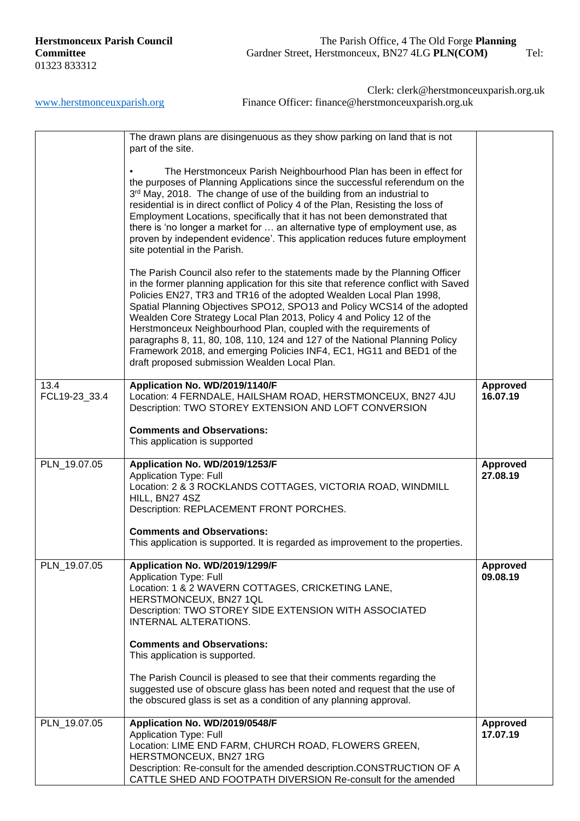|                       | The drawn plans are disingenuous as they show parking on land that is not<br>part of the site.                                                                                                                                                                                                                                                                                                                                                                                                                                                                                                                                                                               |                             |
|-----------------------|------------------------------------------------------------------------------------------------------------------------------------------------------------------------------------------------------------------------------------------------------------------------------------------------------------------------------------------------------------------------------------------------------------------------------------------------------------------------------------------------------------------------------------------------------------------------------------------------------------------------------------------------------------------------------|-----------------------------|
|                       | The Herstmonceux Parish Neighbourhood Plan has been in effect for<br>the purposes of Planning Applications since the successful referendum on the<br>3rd May, 2018. The change of use of the building from an industrial to<br>residential is in direct conflict of Policy 4 of the Plan, Resisting the loss of<br>Employment Locations, specifically that it has not been demonstrated that<br>there is 'no longer a market for  an alternative type of employment use, as<br>proven by independent evidence'. This application reduces future employment<br>site potential in the Parish.                                                                                  |                             |
|                       | The Parish Council also refer to the statements made by the Planning Officer<br>in the former planning application for this site that reference conflict with Saved<br>Policies EN27, TR3 and TR16 of the adopted Wealden Local Plan 1998,<br>Spatial Planning Objectives SPO12, SPO13 and Policy WCS14 of the adopted<br>Wealden Core Strategy Local Plan 2013, Policy 4 and Policy 12 of the<br>Herstmonceux Neighbourhood Plan, coupled with the requirements of<br>paragraphs 8, 11, 80, 108, 110, 124 and 127 of the National Planning Policy<br>Framework 2018, and emerging Policies INF4, EC1, HG11 and BED1 of the<br>draft proposed submission Wealden Local Plan. |                             |
| 13.4<br>FCL19-23_33.4 | Application No. WD/2019/1140/F<br>Location: 4 FERNDALE, HAILSHAM ROAD, HERSTMONCEUX, BN27 4JU<br>Description: TWO STOREY EXTENSION AND LOFT CONVERSION                                                                                                                                                                                                                                                                                                                                                                                                                                                                                                                       | <b>Approved</b><br>16.07.19 |
|                       | <b>Comments and Observations:</b><br>This application is supported                                                                                                                                                                                                                                                                                                                                                                                                                                                                                                                                                                                                           |                             |
|                       |                                                                                                                                                                                                                                                                                                                                                                                                                                                                                                                                                                                                                                                                              |                             |
| PLN_19.07.05          | Application No. WD/2019/1253/F<br><b>Application Type: Full</b><br>Location: 2 & 3 ROCKLANDS COTTAGES, VICTORIA ROAD, WINDMILL<br>HILL, BN27 4SZ<br>Description: REPLACEMENT FRONT PORCHES.                                                                                                                                                                                                                                                                                                                                                                                                                                                                                  | <b>Approved</b><br>27.08.19 |
|                       | <b>Comments and Observations:</b><br>This application is supported. It is regarded as improvement to the properties.                                                                                                                                                                                                                                                                                                                                                                                                                                                                                                                                                         |                             |
| PLN_19.07.05          | Application No. WD/2019/1299/F<br><b>Application Type: Full</b><br>Location: 1 & 2 WAVERN COTTAGES, CRICKETING LANE,<br>HERSTMONCEUX, BN27 1QL<br>Description: TWO STOREY SIDE EXTENSION WITH ASSOCIATED<br>INTERNAL ALTERATIONS.                                                                                                                                                                                                                                                                                                                                                                                                                                            | <b>Approved</b><br>09.08.19 |
|                       | <b>Comments and Observations:</b><br>This application is supported.                                                                                                                                                                                                                                                                                                                                                                                                                                                                                                                                                                                                          |                             |
|                       | The Parish Council is pleased to see that their comments regarding the<br>suggested use of obscure glass has been noted and request that the use of<br>the obscured glass is set as a condition of any planning approval.                                                                                                                                                                                                                                                                                                                                                                                                                                                    |                             |
| PLN_19.07.05          | Application No. WD/2019/0548/F<br><b>Application Type: Full</b><br>Location: LIME END FARM, CHURCH ROAD, FLOWERS GREEN,<br>HERSTMONCEUX, BN27 1RG<br>Description: Re-consult for the amended description.CONSTRUCTION OF A<br>CATTLE SHED AND FOOTPATH DIVERSION Re-consult for the amended                                                                                                                                                                                                                                                                                                                                                                                  | <b>Approved</b><br>17.07.19 |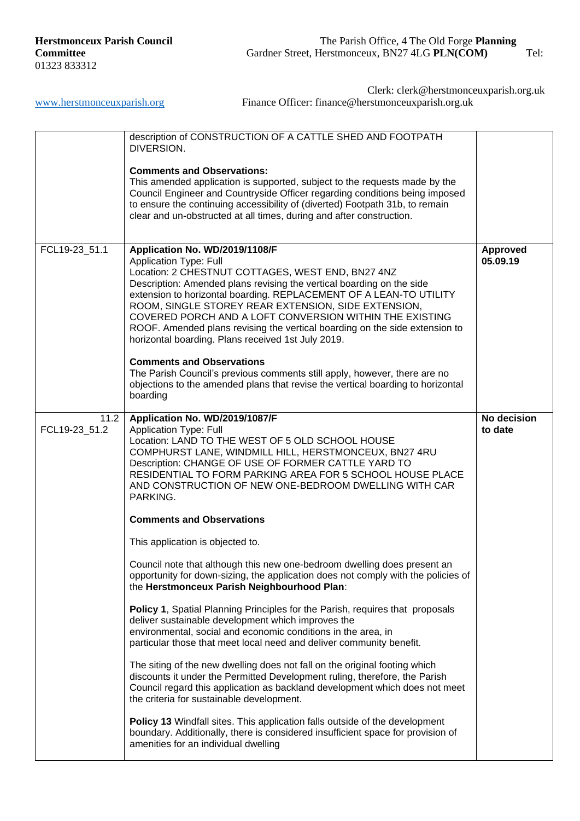[www.herstmonceuxparish.org](http://www.herstmonceuxparish.org/) Finance Officer: finance@herstmonceuxparish.org.uk

Clerk: clerk@herstmonceuxparish.org.uk

|                       | description of CONSTRUCTION OF A CATTLE SHED AND FOOTPATH<br>DIVERSION.                                                                                                                                                                                                                                                                                                                                                                                                                                                                                                                                                                                                                                                                    |                             |
|-----------------------|--------------------------------------------------------------------------------------------------------------------------------------------------------------------------------------------------------------------------------------------------------------------------------------------------------------------------------------------------------------------------------------------------------------------------------------------------------------------------------------------------------------------------------------------------------------------------------------------------------------------------------------------------------------------------------------------------------------------------------------------|-----------------------------|
|                       | <b>Comments and Observations:</b><br>This amended application is supported, subject to the requests made by the<br>Council Engineer and Countryside Officer regarding conditions being imposed<br>to ensure the continuing accessibility of (diverted) Footpath 31b, to remain<br>clear and un-obstructed at all times, during and after construction.                                                                                                                                                                                                                                                                                                                                                                                     |                             |
| FCL19-23_51.1         | Application No. WD/2019/1108/F<br><b>Application Type: Full</b><br>Location: 2 CHESTNUT COTTAGES, WEST END, BN27 4NZ<br>Description: Amended plans revising the vertical boarding on the side<br>extension to horizontal boarding. REPLACEMENT OF A LEAN-TO UTILITY<br>ROOM, SINGLE STOREY REAR EXTENSION, SIDE EXTENSION,<br>COVERED PORCH AND A LOFT CONVERSION WITHIN THE EXISTING<br>ROOF. Amended plans revising the vertical boarding on the side extension to<br>horizontal boarding. Plans received 1st July 2019.<br><b>Comments and Observations</b><br>The Parish Council's previous comments still apply, however, there are no<br>objections to the amended plans that revise the vertical boarding to horizontal<br>boarding | <b>Approved</b><br>05.09.19 |
| 11.2<br>FCL19-23_51.2 | Application No. WD/2019/1087/F<br><b>Application Type: Full</b><br>Location: LAND TO THE WEST OF 5 OLD SCHOOL HOUSE<br>COMPHURST LANE, WINDMILL HILL, HERSTMONCEUX, BN27 4RU<br>Description: CHANGE OF USE OF FORMER CATTLE YARD TO<br>RESIDENTIAL TO FORM PARKING AREA FOR 5 SCHOOL HOUSE PLACE<br>AND CONSTRUCTION OF NEW ONE-BEDROOM DWELLING WITH CAR<br>PARKING.                                                                                                                                                                                                                                                                                                                                                                      | No decision<br>to date      |
|                       | <b>Comments and Observations</b>                                                                                                                                                                                                                                                                                                                                                                                                                                                                                                                                                                                                                                                                                                           |                             |
|                       | This application is objected to.                                                                                                                                                                                                                                                                                                                                                                                                                                                                                                                                                                                                                                                                                                           |                             |
|                       | Council note that although this new one-bedroom dwelling does present an<br>opportunity for down-sizing, the application does not comply with the policies of<br>the Herstmonceux Parish Neighbourhood Plan:                                                                                                                                                                                                                                                                                                                                                                                                                                                                                                                               |                             |
|                       | Policy 1, Spatial Planning Principles for the Parish, requires that proposals<br>deliver sustainable development which improves the<br>environmental, social and economic conditions in the area, in<br>particular those that meet local need and deliver community benefit.                                                                                                                                                                                                                                                                                                                                                                                                                                                               |                             |
|                       | The siting of the new dwelling does not fall on the original footing which<br>discounts it under the Permitted Development ruling, therefore, the Parish<br>Council regard this application as backland development which does not meet<br>the criteria for sustainable development.                                                                                                                                                                                                                                                                                                                                                                                                                                                       |                             |
|                       | Policy 13 Windfall sites. This application falls outside of the development<br>boundary. Additionally, there is considered insufficient space for provision of<br>amenities for an individual dwelling                                                                                                                                                                                                                                                                                                                                                                                                                                                                                                                                     |                             |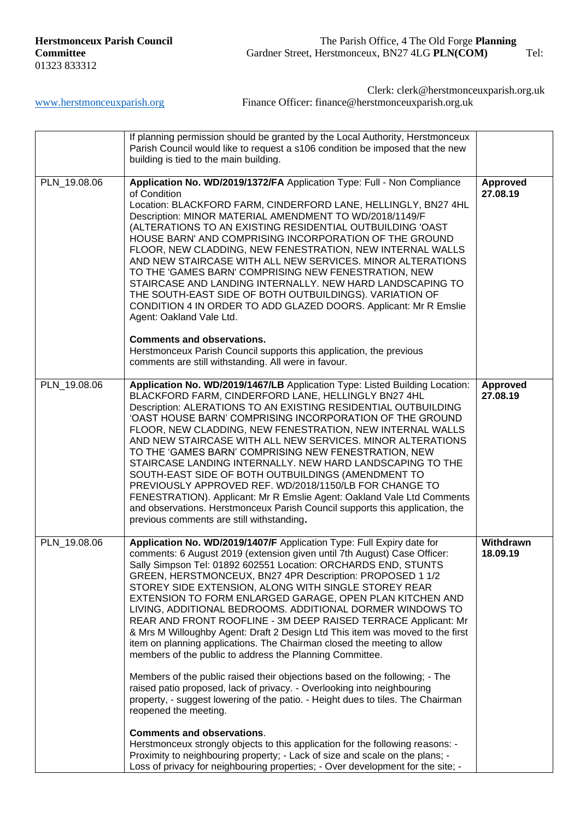|              | If planning permission should be granted by the Local Authority, Herstmonceux<br>Parish Council would like to request a s106 condition be imposed that the new<br>building is tied to the main building.                                                                                                                                                                                                                                                                                                                                                                                                                                                                                                                                                                                                                                |                             |
|--------------|-----------------------------------------------------------------------------------------------------------------------------------------------------------------------------------------------------------------------------------------------------------------------------------------------------------------------------------------------------------------------------------------------------------------------------------------------------------------------------------------------------------------------------------------------------------------------------------------------------------------------------------------------------------------------------------------------------------------------------------------------------------------------------------------------------------------------------------------|-----------------------------|
| PLN_19.08.06 | Application No. WD/2019/1372/FA Application Type: Full - Non Compliance<br>of Condition<br>Location: BLACKFORD FARM, CINDERFORD LANE, HELLINGLY, BN27 4HL<br>Description: MINOR MATERIAL AMENDMENT TO WD/2018/1149/F<br>(ALTERATIONS TO AN EXISTING RESIDENTIAL OUTBUILDING 'OAST<br>HOUSE BARN' AND COMPRISING INCORPORATION OF THE GROUND<br>FLOOR, NEW CLADDING, NEW FENESTRATION, NEW INTERNAL WALLS<br>AND NEW STAIRCASE WITH ALL NEW SERVICES. MINOR ALTERATIONS<br>TO THE 'GAMES BARN' COMPRISING NEW FENESTRATION, NEW<br>STAIRCASE AND LANDING INTERNALLY. NEW HARD LANDSCAPING TO<br>THE SOUTH-EAST SIDE OF BOTH OUTBUILDINGS). VARIATION OF<br>CONDITION 4 IN ORDER TO ADD GLAZED DOORS. Applicant: Mr R Emslie<br>Agent: Oakland Vale Ltd.                                                                                  | <b>Approved</b><br>27.08.19 |
|              | <b>Comments and observations.</b><br>Herstmonceux Parish Council supports this application, the previous<br>comments are still withstanding. All were in favour.                                                                                                                                                                                                                                                                                                                                                                                                                                                                                                                                                                                                                                                                        |                             |
| PLN_19.08.06 | Application No. WD/2019/1467/LB Application Type: Listed Building Location:<br>BLACKFORD FARM, CINDERFORD LANE, HELLINGLY BN27 4HL<br>Description: ALERATIONS TO AN EXISTING RESIDENTIAL OUTBUILDING<br>'OAST HOUSE BARN' COMPRISING INCORPORATION OF THE GROUND<br>FLOOR, NEW CLADDING, NEW FENESTRATION, NEW INTERNAL WALLS<br>AND NEW STAIRCASE WITH ALL NEW SERVICES. MINOR ALTERATIONS<br>TO THE 'GAMES BARN' COMPRISING NEW FENESTRATION, NEW<br>STAIRCASE LANDING INTERNALLY. NEW HARD LANDSCAPING TO THE<br>SOUTH-EAST SIDE OF BOTH OUTBUILDINGS (AMENDMENT TO<br>PREVIOUSLY APPROVED REF. WD/2018/1150/LB FOR CHANGE TO<br>FENESTRATION). Applicant: Mr R Emslie Agent: Oakland Vale Ltd Comments<br>and observations. Herstmonceux Parish Council supports this application, the<br>previous comments are still withstanding. | Approved<br>27.08.19        |
| PLN_19.08.06 | Application No. WD/2019/1407/F Application Type: Full Expiry date for<br>comments: 6 August 2019 (extension given until 7th August) Case Officer:<br>Sally Simpson Tel: 01892 602551 Location: ORCHARDS END, STUNTS<br>GREEN, HERSTMONCEUX, BN27 4PR Description: PROPOSED 1 1/2<br>STOREY SIDE EXTENSION, ALONG WITH SINGLE STOREY REAR<br>EXTENSION TO FORM ENLARGED GARAGE, OPEN PLAN KITCHEN AND<br>LIVING, ADDITIONAL BEDROOMS. ADDITIONAL DORMER WINDOWS TO<br>REAR AND FRONT ROOFLINE - 3M DEEP RAISED TERRACE Applicant: Mr<br>& Mrs M Willoughby Agent: Draft 2 Design Ltd This item was moved to the first<br>item on planning applications. The Chairman closed the meeting to allow<br>members of the public to address the Planning Committee.                                                                             | Withdrawn<br>18.09.19       |
|              | Members of the public raised their objections based on the following; - The<br>raised patio proposed, lack of privacy. - Overlooking into neighbouring<br>property, - suggest lowering of the patio. - Height dues to tiles. The Chairman<br>reopened the meeting.                                                                                                                                                                                                                                                                                                                                                                                                                                                                                                                                                                      |                             |
|              | <b>Comments and observations.</b><br>Herstmonceux strongly objects to this application for the following reasons: -<br>Proximity to neighbouring property; - Lack of size and scale on the plans; -<br>Loss of privacy for neighbouring properties; - Over development for the site; -                                                                                                                                                                                                                                                                                                                                                                                                                                                                                                                                                  |                             |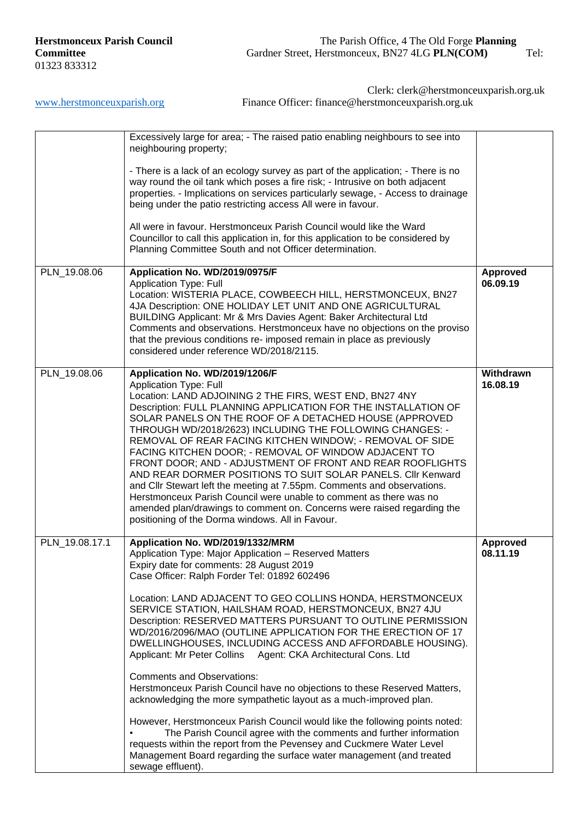|                | Excessively large for area; - The raised patio enabling neighbours to see into<br>neighbouring property;                                                                                                                                                                                                                                                                                                                                                                                                                                                                                                                                                                                                                                                                                                                                                                                                                                                                                                                                                                                         |                             |
|----------------|--------------------------------------------------------------------------------------------------------------------------------------------------------------------------------------------------------------------------------------------------------------------------------------------------------------------------------------------------------------------------------------------------------------------------------------------------------------------------------------------------------------------------------------------------------------------------------------------------------------------------------------------------------------------------------------------------------------------------------------------------------------------------------------------------------------------------------------------------------------------------------------------------------------------------------------------------------------------------------------------------------------------------------------------------------------------------------------------------|-----------------------------|
|                | - There is a lack of an ecology survey as part of the application; - There is no<br>way round the oil tank which poses a fire risk; - Intrusive on both adjacent<br>properties. - Implications on services particularly sewage, - Access to drainage<br>being under the patio restricting access All were in favour.                                                                                                                                                                                                                                                                                                                                                                                                                                                                                                                                                                                                                                                                                                                                                                             |                             |
|                | All were in favour. Herstmonceux Parish Council would like the Ward<br>Councillor to call this application in, for this application to be considered by<br>Planning Committee South and not Officer determination.                                                                                                                                                                                                                                                                                                                                                                                                                                                                                                                                                                                                                                                                                                                                                                                                                                                                               |                             |
| PLN_19.08.06   | Application No. WD/2019/0975/F<br><b>Application Type: Full</b><br>Location: WISTERIA PLACE, COWBEECH HILL, HERSTMONCEUX, BN27<br>4JA Description: ONE HOLIDAY LET UNIT AND ONE AGRICULTURAL<br>BUILDING Applicant: Mr & Mrs Davies Agent: Baker Architectural Ltd<br>Comments and observations. Herstmonceux have no objections on the proviso<br>that the previous conditions re- imposed remain in place as previously<br>considered under reference WD/2018/2115.                                                                                                                                                                                                                                                                                                                                                                                                                                                                                                                                                                                                                            | <b>Approved</b><br>06.09.19 |
| PLN_19.08.06   | Application No. WD/2019/1206/F<br><b>Application Type: Full</b><br>Location: LAND ADJOINING 2 THE FIRS, WEST END, BN27 4NY<br>Description: FULL PLANNING APPLICATION FOR THE INSTALLATION OF<br>SOLAR PANELS ON THE ROOF OF A DETACHED HOUSE (APPROVED<br>THROUGH WD/2018/2623) INCLUDING THE FOLLOWING CHANGES: -<br>REMOVAL OF REAR FACING KITCHEN WINDOW; - REMOVAL OF SIDE<br>FACING KITCHEN DOOR; - REMOVAL OF WINDOW ADJACENT TO<br>FRONT DOOR; AND - ADJUSTMENT OF FRONT AND REAR ROOFLIGHTS<br>AND REAR DORMER POSITIONS TO SUIT SOLAR PANELS. Clir Kenward<br>and Cllr Stewart left the meeting at 7.55pm. Comments and observations.<br>Herstmonceux Parish Council were unable to comment as there was no<br>amended plan/drawings to comment on. Concerns were raised regarding the<br>positioning of the Dorma windows. All in Favour.                                                                                                                                                                                                                                              | Withdrawn<br>16.08.19       |
| PLN_19.08.17.1 | Application No. WD/2019/1332/MRM<br>Application Type: Major Application - Reserved Matters<br>Expiry date for comments: 28 August 2019<br>Case Officer: Ralph Forder Tel: 01892 602496<br>Location: LAND ADJACENT TO GEO COLLINS HONDA, HERSTMONCEUX<br>SERVICE STATION, HAILSHAM ROAD, HERSTMONCEUX, BN27 4JU<br>Description: RESERVED MATTERS PURSUANT TO OUTLINE PERMISSION<br>WD/2016/2096/MAO (OUTLINE APPLICATION FOR THE ERECTION OF 17<br>DWELLINGHOUSES, INCLUDING ACCESS AND AFFORDABLE HOUSING).<br>Applicant: Mr Peter Collins Agent: CKA Architectural Cons. Ltd<br><b>Comments and Observations:</b><br>Herstmonceux Parish Council have no objections to these Reserved Matters,<br>acknowledging the more sympathetic layout as a much-improved plan.<br>However, Herstmonceux Parish Council would like the following points noted:<br>The Parish Council agree with the comments and further information<br>requests within the report from the Pevensey and Cuckmere Water Level<br>Management Board regarding the surface water management (and treated<br>sewage effluent). | <b>Approved</b><br>08.11.19 |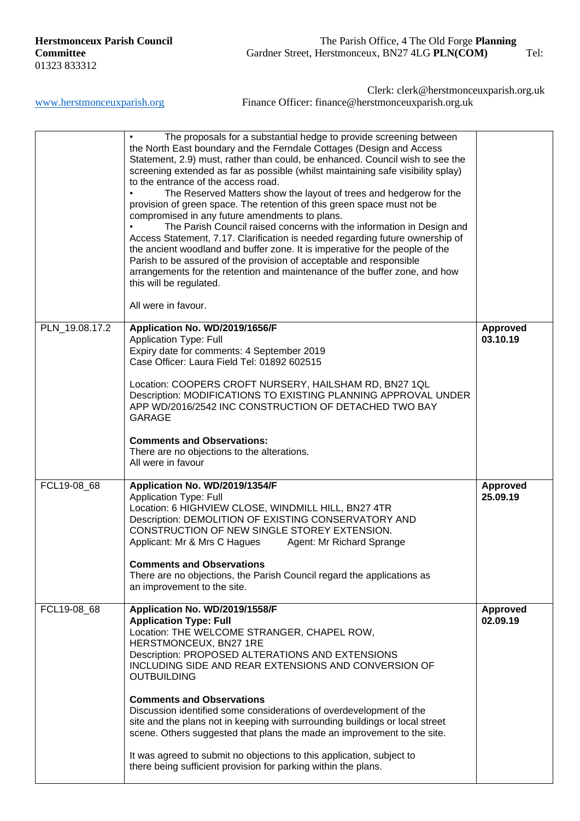|                | The proposals for a substantial hedge to provide screening between<br>the North East boundary and the Ferndale Cottages (Design and Access<br>Statement, 2.9) must, rather than could, be enhanced. Council wish to see the<br>screening extended as far as possible (whilst maintaining safe visibility splay)<br>to the entrance of the access road.<br>The Reserved Matters show the layout of trees and hedgerow for the<br>provision of green space. The retention of this green space must not be<br>compromised in any future amendments to plans.<br>The Parish Council raised concerns with the information in Design and<br>Access Statement, 7.17. Clarification is needed regarding future ownership of<br>the ancient woodland and buffer zone. It is imperative for the people of the<br>Parish to be assured of the provision of acceptable and responsible<br>arrangements for the retention and maintenance of the buffer zone, and how<br>this will be regulated.<br>All were in favour. |                             |
|----------------|------------------------------------------------------------------------------------------------------------------------------------------------------------------------------------------------------------------------------------------------------------------------------------------------------------------------------------------------------------------------------------------------------------------------------------------------------------------------------------------------------------------------------------------------------------------------------------------------------------------------------------------------------------------------------------------------------------------------------------------------------------------------------------------------------------------------------------------------------------------------------------------------------------------------------------------------------------------------------------------------------------|-----------------------------|
| PLN_19.08.17.2 | Application No. WD/2019/1656/F<br><b>Application Type: Full</b><br>Expiry date for comments: 4 September 2019<br>Case Officer: Laura Field Tel: 01892 602515<br>Location: COOPERS CROFT NURSERY, HAILSHAM RD, BN27 1QL<br>Description: MODIFICATIONS TO EXISTING PLANNING APPROVAL UNDER<br>APP WD/2016/2542 INC CONSTRUCTION OF DETACHED TWO BAY<br><b>GARAGE</b><br><b>Comments and Observations:</b><br>There are no objections to the alterations.<br>All were in favour                                                                                                                                                                                                                                                                                                                                                                                                                                                                                                                               | <b>Approved</b><br>03.10.19 |
| FCL19-08_68    | Application No. WD/2019/1354/F<br><b>Application Type: Full</b><br>Location: 6 HIGHVIEW CLOSE, WINDMILL HILL, BN27 4TR<br>Description: DEMOLITION OF EXISTING CONSERVATORY AND<br>CONSTRUCTION OF NEW SINGLE STOREY EXTENSION.<br>Applicant: Mr & Mrs C Hagues Agent: Mr Richard Sprange<br><b>Comments and Observations</b><br>There are no objections, the Parish Council regard the applications as<br>an improvement to the site.                                                                                                                                                                                                                                                                                                                                                                                                                                                                                                                                                                      | <b>Approved</b><br>25.09.19 |
| FCL19-08_68    | Application No. WD/2019/1558/F<br><b>Application Type: Full</b><br>Location: THE WELCOME STRANGER, CHAPEL ROW,<br>HERSTMONCEUX, BN27 1RE<br>Description: PROPOSED ALTERATIONS AND EXTENSIONS<br>INCLUDING SIDE AND REAR EXTENSIONS AND CONVERSION OF<br><b>OUTBUILDING</b><br><b>Comments and Observations</b><br>Discussion identified some considerations of overdevelopment of the<br>site and the plans not in keeping with surrounding buildings or local street<br>scene. Others suggested that plans the made an improvement to the site.<br>It was agreed to submit no objections to this application, subject to<br>there being sufficient provision for parking within the plans.                                                                                                                                                                                                                                                                                                                | Approved<br>02.09.19        |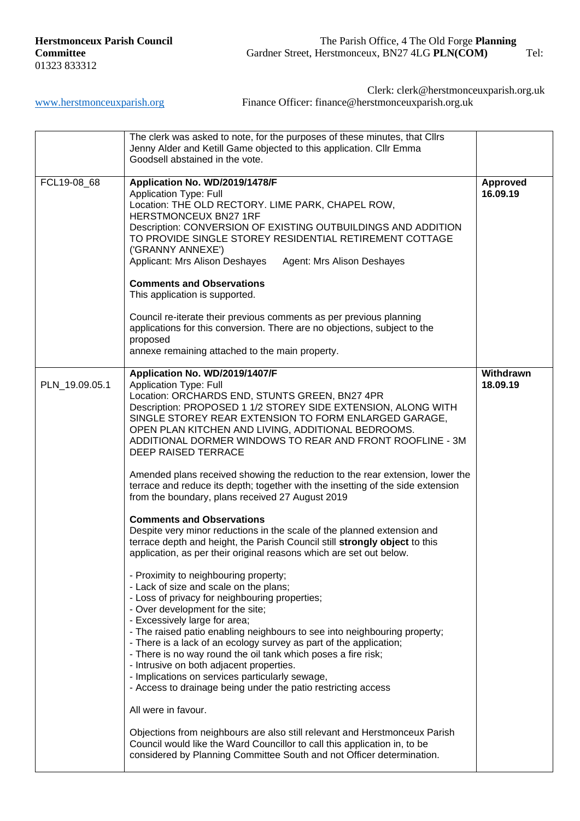[www.herstmonceuxparish.org](http://www.herstmonceuxparish.org/) Finance Officer: finance@herstmonceuxparish.org.uk

Clerk: clerk@herstmonceuxparish.org.uk

|                | The clerk was asked to note, for the purposes of these minutes, that Cllrs<br>Jenny Alder and Ketill Game objected to this application. Cllr Emma<br>Goodsell abstained in the vote.                                                                                                                                                                                                                                                                                                                                                                                                                                                                                                                                                                                                                                                                                                                                                                                                                                                                                                                                                                                                                                                                                                                                                                                                                                                                                                                                                                                                                                                                                                                                                       |                       |
|----------------|--------------------------------------------------------------------------------------------------------------------------------------------------------------------------------------------------------------------------------------------------------------------------------------------------------------------------------------------------------------------------------------------------------------------------------------------------------------------------------------------------------------------------------------------------------------------------------------------------------------------------------------------------------------------------------------------------------------------------------------------------------------------------------------------------------------------------------------------------------------------------------------------------------------------------------------------------------------------------------------------------------------------------------------------------------------------------------------------------------------------------------------------------------------------------------------------------------------------------------------------------------------------------------------------------------------------------------------------------------------------------------------------------------------------------------------------------------------------------------------------------------------------------------------------------------------------------------------------------------------------------------------------------------------------------------------------------------------------------------------------|-----------------------|
| FCL19-08 68    | Application No. WD/2019/1478/F<br><b>Application Type: Full</b><br>Location: THE OLD RECTORY. LIME PARK, CHAPEL ROW,<br>HERSTMONCEUX BN27 1RF<br>Description: CONVERSION OF EXISTING OUTBUILDINGS AND ADDITION<br>TO PROVIDE SINGLE STOREY RESIDENTIAL RETIREMENT COTTAGE<br>('GRANNY ANNEXE')<br>Applicant: Mrs Alison Deshayes<br>Agent: Mrs Alison Deshayes<br><b>Comments and Observations</b><br>This application is supported.<br>Council re-iterate their previous comments as per previous planning<br>applications for this conversion. There are no objections, subject to the<br>proposed<br>annexe remaining attached to the main property.                                                                                                                                                                                                                                                                                                                                                                                                                                                                                                                                                                                                                                                                                                                                                                                                                                                                                                                                                                                                                                                                                    | Approved<br>16.09.19  |
| PLN_19.09.05.1 | Application No. WD/2019/1407/F<br><b>Application Type: Full</b><br>Location: ORCHARDS END, STUNTS GREEN, BN27 4PR<br>Description: PROPOSED 1 1/2 STOREY SIDE EXTENSION, ALONG WITH<br>SINGLE STOREY REAR EXTENSION TO FORM ENLARGED GARAGE,<br>OPEN PLAN KITCHEN AND LIVING, ADDITIONAL BEDROOMS.<br>ADDITIONAL DORMER WINDOWS TO REAR AND FRONT ROOFLINE - 3M<br>DEEP RAISED TERRACE<br>Amended plans received showing the reduction to the rear extension, lower the<br>terrace and reduce its depth; together with the insetting of the side extension<br>from the boundary, plans received 27 August 2019<br><b>Comments and Observations</b><br>Despite very minor reductions in the scale of the planned extension and<br>terrace depth and height, the Parish Council still strongly object to this<br>application, as per their original reasons which are set out below.<br>- Proximity to neighbouring property;<br>- Lack of size and scale on the plans;<br>- Loss of privacy for neighbouring properties;<br>- Over development for the site;<br>- Excessively large for area;<br>- The raised patio enabling neighbours to see into neighbouring property;<br>- There is a lack of an ecology survey as part of the application;<br>- There is no way round the oil tank which poses a fire risk;<br>- Intrusive on both adjacent properties.<br>- Implications on services particularly sewage,<br>- Access to drainage being under the patio restricting access<br>All were in favour.<br>Objections from neighbours are also still relevant and Herstmonceux Parish<br>Council would like the Ward Councillor to call this application in, to be<br>considered by Planning Committee South and not Officer determination. | Withdrawn<br>18.09.19 |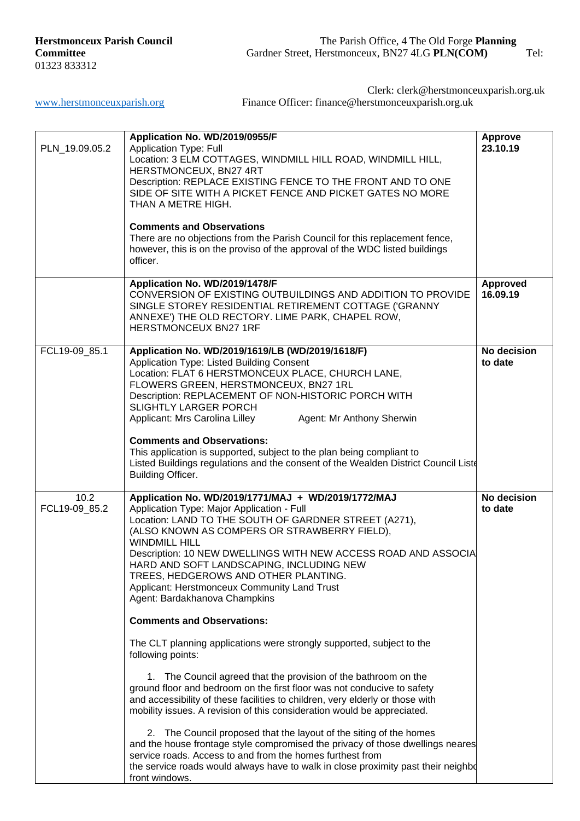Clerk: clerk@herstmonceuxparish.org.uk

[www.herstmonceuxparish.org](http://www.herstmonceuxparish.org/) Finance Officer: finance@herstmonceuxparish.org.uk

| PLN_19.09.05.2        | Application No. WD/2019/0955/F<br><b>Application Type: Full</b><br>Location: 3 ELM COTTAGES, WINDMILL HILL ROAD, WINDMILL HILL,<br>HERSTMONCEUX, BN27 4RT<br>Description: REPLACE EXISTING FENCE TO THE FRONT AND TO ONE<br>SIDE OF SITE WITH A PICKET FENCE AND PICKET GATES NO MORE<br>THAN A METRE HIGH.<br><b>Comments and Observations</b><br>There are no objections from the Parish Council for this replacement fence,<br>however, this is on the proviso of the approval of the WDC listed buildings<br>officer.                                                                                                                                                                                                                                                                                                                                                                                                                                                                                                                                                                                                                                                                                                        | <b>Approve</b><br>23.10.19 |
|-----------------------|----------------------------------------------------------------------------------------------------------------------------------------------------------------------------------------------------------------------------------------------------------------------------------------------------------------------------------------------------------------------------------------------------------------------------------------------------------------------------------------------------------------------------------------------------------------------------------------------------------------------------------------------------------------------------------------------------------------------------------------------------------------------------------------------------------------------------------------------------------------------------------------------------------------------------------------------------------------------------------------------------------------------------------------------------------------------------------------------------------------------------------------------------------------------------------------------------------------------------------|----------------------------|
|                       | Application No. WD/2019/1478/F<br>CONVERSION OF EXISTING OUTBUILDINGS AND ADDITION TO PROVIDE<br>SINGLE STOREY RESIDENTIAL RETIREMENT COTTAGE ('GRANNY<br>ANNEXE') THE OLD RECTORY. LIME PARK, CHAPEL ROW,<br>HERSTMONCEUX BN27 1RF                                                                                                                                                                                                                                                                                                                                                                                                                                                                                                                                                                                                                                                                                                                                                                                                                                                                                                                                                                                              | Approved<br>16.09.19       |
| FCL19-09_85.1         | Application No. WD/2019/1619/LB (WD/2019/1618/F)<br>Application Type: Listed Building Consent<br>Location: FLAT 6 HERSTMONCEUX PLACE, CHURCH LANE,<br>FLOWERS GREEN, HERSTMONCEUX, BN27 1RL<br>Description: REPLACEMENT OF NON-HISTORIC PORCH WITH<br><b>SLIGHTLY LARGER PORCH</b><br>Applicant: Mrs Carolina Lilley<br>Agent: Mr Anthony Sherwin<br><b>Comments and Observations:</b><br>This application is supported, subject to the plan being compliant to<br>Listed Buildings regulations and the consent of the Wealden District Council Liste<br>Building Officer.                                                                                                                                                                                                                                                                                                                                                                                                                                                                                                                                                                                                                                                       | No decision<br>to date     |
| 10.2<br>FCL19-09_85.2 | Application No. WD/2019/1771/MAJ + WD/2019/1772/MAJ<br>Application Type: Major Application - Full<br>Location: LAND TO THE SOUTH OF GARDNER STREET (A271),<br>(ALSO KNOWN AS COMPERS OR STRAWBERRY FIELD),<br><b>WINDMILL HILL</b><br>Description: 10 NEW DWELLINGS WITH NEW ACCESS ROAD AND ASSOCIA<br>HARD AND SOFT LANDSCAPING, INCLUDING NEW<br>TREES, HEDGEROWS AND OTHER PLANTING.<br>Applicant: Herstmonceux Community Land Trust<br>Agent: Bardakhanova Champkins<br><b>Comments and Observations:</b><br>The CLT planning applications were strongly supported, subject to the<br>following points:<br>1. The Council agreed that the provision of the bathroom on the<br>ground floor and bedroom on the first floor was not conducive to safety<br>and accessibility of these facilities to children, very elderly or those with<br>mobility issues. A revision of this consideration would be appreciated.<br>2. The Council proposed that the layout of the siting of the homes<br>and the house frontage style compromised the privacy of those dwellings neares<br>service roads. Access to and from the homes furthest from<br>the service roads would always have to walk in close proximity past their neighbo | No decision<br>to date     |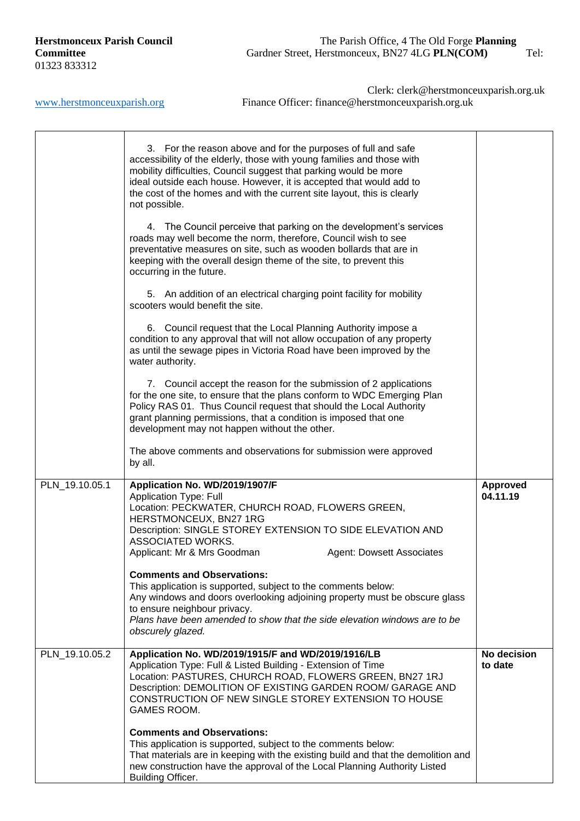|                | 3. For the reason above and for the purposes of full and safe<br>accessibility of the elderly, those with young families and those with<br>mobility difficulties, Council suggest that parking would be more<br>ideal outside each house. However, it is accepted that would add to<br>the cost of the homes and with the current site layout, this is clearly<br>not possible.<br>4. The Council perceive that parking on the development's services<br>roads may well become the norm, therefore, Council wish to see<br>preventative measures on site, such as wooden bollards that are in<br>keeping with the overall design theme of the site, to prevent this<br>occurring in the future.<br>5. An addition of an electrical charging point facility for mobility<br>scooters would benefit the site.<br>6. Council request that the Local Planning Authority impose a<br>condition to any approval that will not allow occupation of any property<br>as until the sewage pipes in Victoria Road have been improved by the<br>water authority.<br>7. Council accept the reason for the submission of 2 applications<br>for the one site, to ensure that the plans conform to WDC Emerging Plan<br>Policy RAS 01. Thus Council request that should the Local Authority<br>grant planning permissions, that a condition is imposed that one<br>development may not happen without the other.<br>The above comments and observations for submission were approved<br>by all. |                             |
|----------------|---------------------------------------------------------------------------------------------------------------------------------------------------------------------------------------------------------------------------------------------------------------------------------------------------------------------------------------------------------------------------------------------------------------------------------------------------------------------------------------------------------------------------------------------------------------------------------------------------------------------------------------------------------------------------------------------------------------------------------------------------------------------------------------------------------------------------------------------------------------------------------------------------------------------------------------------------------------------------------------------------------------------------------------------------------------------------------------------------------------------------------------------------------------------------------------------------------------------------------------------------------------------------------------------------------------------------------------------------------------------------------------------------------------------------------------------------------------------------------|-----------------------------|
| PLN_19.10.05.1 | Application No. WD/2019/1907/F<br><b>Application Type: Full</b><br>Location: PECKWATER, CHURCH ROAD, FLOWERS GREEN,<br>HERSTMONCEUX, BN27 1RG<br>Description: SINGLE STOREY EXTENSION TO SIDE ELEVATION AND<br>ASSOCIATED WORKS.<br>Applicant: Mr & Mrs Goodman<br><b>Agent: Dowsett Associates</b><br><b>Comments and Observations:</b><br>This application is supported, subject to the comments below:<br>Any windows and doors overlooking adjoining property must be obscure glass<br>to ensure neighbour privacy.<br>Plans have been amended to show that the side elevation windows are to be<br>obscurely glazed.                                                                                                                                                                                                                                                                                                                                                                                                                                                                                                                                                                                                                                                                                                                                                                                                                                                       | <b>Approved</b><br>04.11.19 |
| PLN_19.10.05.2 | Application No. WD/2019/1915/F and WD/2019/1916/LB<br>Application Type: Full & Listed Building - Extension of Time<br>Location: PASTURES, CHURCH ROAD, FLOWERS GREEN, BN27 1RJ<br>Description: DEMOLITION OF EXISTING GARDEN ROOM/ GARAGE AND<br>CONSTRUCTION OF NEW SINGLE STOREY EXTENSION TO HOUSE<br><b>GAMES ROOM.</b><br><b>Comments and Observations:</b><br>This application is supported, subject to the comments below:<br>That materials are in keeping with the existing build and that the demolition and<br>new construction have the approval of the Local Planning Authority Listed<br><b>Building Officer.</b>                                                                                                                                                                                                                                                                                                                                                                                                                                                                                                                                                                                                                                                                                                                                                                                                                                                 | No decision<br>to date      |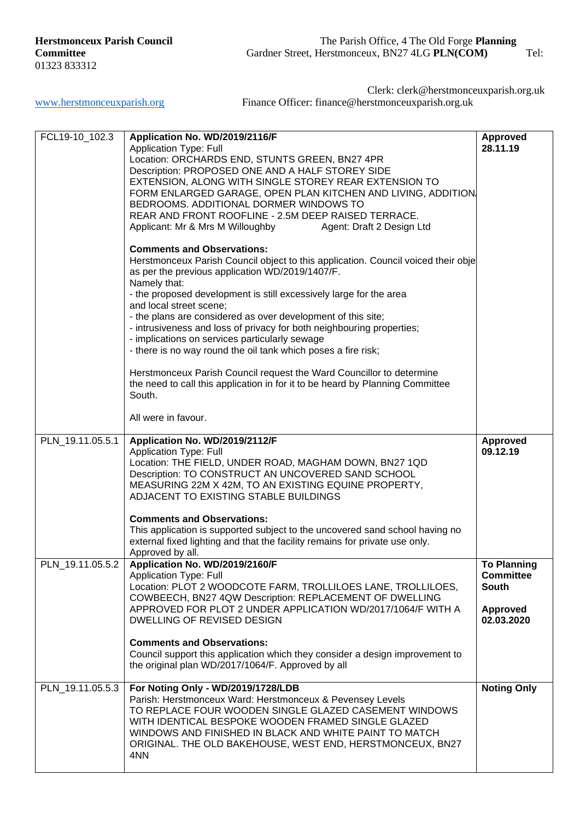| FCL19-10_102.3   | Application No. WD/2019/2116/F<br><b>Application Type: Full</b><br>Location: ORCHARDS END, STUNTS GREEN, BN27 4PR<br>Description: PROPOSED ONE AND A HALF STOREY SIDE<br>EXTENSION, ALONG WITH SINGLE STOREY REAR EXTENSION TO<br>FORM ENLARGED GARAGE, OPEN PLAN KITCHEN AND LIVING, ADDITION.<br>BEDROOMS. ADDITIONAL DORMER WINDOWS TO<br>REAR AND FRONT ROOFLINE - 2.5M DEEP RAISED TERRACE.<br>Applicant: Mr & Mrs M Willoughby<br>Agent: Draft 2 Design Ltd<br><b>Comments and Observations:</b><br>Herstmonceux Parish Council object to this application. Council voiced their obje<br>as per the previous application WD/2019/1407/F.<br>Namely that:<br>- the proposed development is still excessively large for the area<br>and local street scene;<br>- the plans are considered as over development of this site;<br>- intrusiveness and loss of privacy for both neighbouring properties;<br>- implications on services particularly sewage<br>- there is no way round the oil tank which poses a fire risk;<br>Herstmonceux Parish Council request the Ward Councillor to determine<br>the need to call this application in for it to be heard by Planning Committee<br>South.<br>All were in favour. | <b>Approved</b><br>28.11.19                                                             |
|------------------|-----------------------------------------------------------------------------------------------------------------------------------------------------------------------------------------------------------------------------------------------------------------------------------------------------------------------------------------------------------------------------------------------------------------------------------------------------------------------------------------------------------------------------------------------------------------------------------------------------------------------------------------------------------------------------------------------------------------------------------------------------------------------------------------------------------------------------------------------------------------------------------------------------------------------------------------------------------------------------------------------------------------------------------------------------------------------------------------------------------------------------------------------------------------------------------------------------------------------|-----------------------------------------------------------------------------------------|
| PLN_19.11.05.5.1 | Application No. WD/2019/2112/F                                                                                                                                                                                                                                                                                                                                                                                                                                                                                                                                                                                                                                                                                                                                                                                                                                                                                                                                                                                                                                                                                                                                                                                        | Approved                                                                                |
|                  | <b>Application Type: Full</b><br>Location: THE FIELD, UNDER ROAD, MAGHAM DOWN, BN27 1QD<br>Description: TO CONSTRUCT AN UNCOVERED SAND SCHOOL<br>MEASURING 22M X 42M, TO AN EXISTING EQUINE PROPERTY,<br>ADJACENT TO EXISTING STABLE BUILDINGS<br><b>Comments and Observations:</b><br>This application is supported subject to the uncovered sand school having no<br>external fixed lighting and that the facility remains for private use only.                                                                                                                                                                                                                                                                                                                                                                                                                                                                                                                                                                                                                                                                                                                                                                    | 09.12.19                                                                                |
|                  | Approved by all.                                                                                                                                                                                                                                                                                                                                                                                                                                                                                                                                                                                                                                                                                                                                                                                                                                                                                                                                                                                                                                                                                                                                                                                                      |                                                                                         |
| PLN 19.11.05.5.2 | Application No. WD/2019/2160/F<br><b>Application Type: Full</b><br>Location: PLOT 2 WOODCOTE FARM, TROLLILOES LANE, TROLLILOES,<br>COWBEECH, BN27 4QW Description: REPLACEMENT OF DWELLING<br>APPROVED FOR PLOT 2 UNDER APPLICATION WD/2017/1064/F WITH A<br>DWELLING OF REVISED DESIGN                                                                                                                                                                                                                                                                                                                                                                                                                                                                                                                                                                                                                                                                                                                                                                                                                                                                                                                               | <b>To Planning</b><br><b>Committee</b><br><b>South</b><br><b>Approved</b><br>02.03.2020 |
|                  | <b>Comments and Observations:</b><br>Council support this application which they consider a design improvement to<br>the original plan WD/2017/1064/F. Approved by all                                                                                                                                                                                                                                                                                                                                                                                                                                                                                                                                                                                                                                                                                                                                                                                                                                                                                                                                                                                                                                                |                                                                                         |
| PLN_19.11.05.5.3 | For Noting Only - WD/2019/1728/LDB<br>Parish: Herstmonceux Ward: Herstmonceux & Pevensey Levels<br>TO REPLACE FOUR WOODEN SINGLE GLAZED CASEMENT WINDOWS<br>WITH IDENTICAL BESPOKE WOODEN FRAMED SINGLE GLAZED<br>WINDOWS AND FINISHED IN BLACK AND WHITE PAINT TO MATCH<br>ORIGINAL. THE OLD BAKEHOUSE, WEST END, HERSTMONCEUX, BN27<br>4NN                                                                                                                                                                                                                                                                                                                                                                                                                                                                                                                                                                                                                                                                                                                                                                                                                                                                          | <b>Noting Only</b>                                                                      |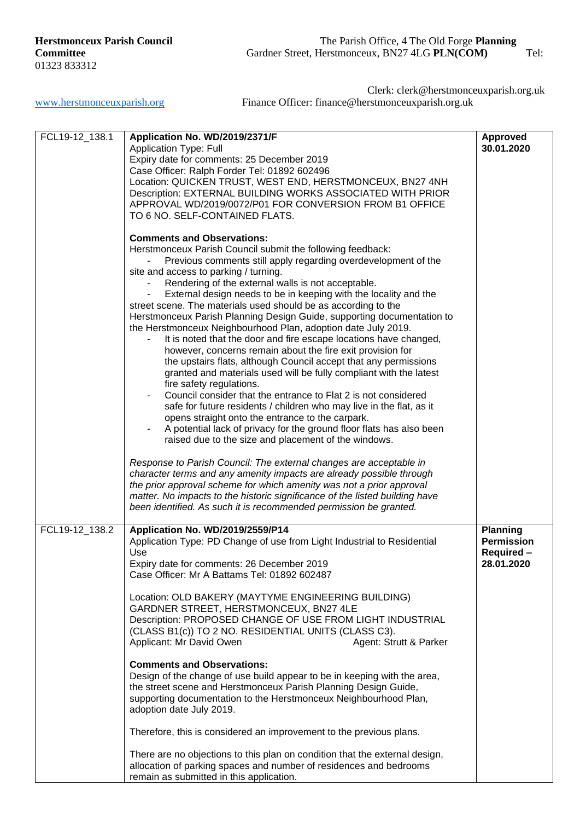| FCL19-12_138.1 | Application No. WD/2019/2371/F<br><b>Application Type: Full</b><br>Expiry date for comments: 25 December 2019<br>Case Officer: Ralph Forder Tel: 01892 602496<br>Location: QUICKEN TRUST, WEST END, HERSTMONCEUX, BN27 4NH<br>Description: EXTERNAL BUILDING WORKS ASSOCIATED WITH PRIOR<br>APPROVAL WD/2019/0072/P01 FOR CONVERSION FROM B1 OFFICE<br>TO 6 NO. SELF-CONTAINED FLATS.<br><b>Comments and Observations:</b><br>Herstmonceux Parish Council submit the following feedback:<br>Previous comments still apply regarding overdevelopment of the<br>site and access to parking / turning.<br>Rendering of the external walls is not acceptable.<br>External design needs to be in keeping with the locality and the<br>street scene. The materials used should be as according to the<br>Herstmonceux Parish Planning Design Guide, supporting documentation to<br>the Herstmonceux Neighbourhood Plan, adoption date July 2019.<br>It is noted that the door and fire escape locations have changed,<br>however, concerns remain about the fire exit provision for<br>the upstairs flats, although Council accept that any permissions<br>granted and materials used will be fully compliant with the latest<br>fire safety regulations.<br>Council consider that the entrance to Flat 2 is not considered<br>safe for future residents / children who may live in the flat, as it<br>opens straight onto the entrance to the carpark.<br>A potential lack of privacy for the ground floor flats has also been<br>$\qquad \qquad \blacksquare$<br>raised due to the size and placement of the windows.<br>Response to Parish Council: The external changes are acceptable in<br>character terms and any amenity impacts are already possible through<br>the prior approval scheme for which amenity was not a prior approval<br>matter. No impacts to the historic significance of the listed building have<br>been identified. As such it is recommended permission be granted. | <b>Approved</b><br>30.01.2020                                    |
|----------------|---------------------------------------------------------------------------------------------------------------------------------------------------------------------------------------------------------------------------------------------------------------------------------------------------------------------------------------------------------------------------------------------------------------------------------------------------------------------------------------------------------------------------------------------------------------------------------------------------------------------------------------------------------------------------------------------------------------------------------------------------------------------------------------------------------------------------------------------------------------------------------------------------------------------------------------------------------------------------------------------------------------------------------------------------------------------------------------------------------------------------------------------------------------------------------------------------------------------------------------------------------------------------------------------------------------------------------------------------------------------------------------------------------------------------------------------------------------------------------------------------------------------------------------------------------------------------------------------------------------------------------------------------------------------------------------------------------------------------------------------------------------------------------------------------------------------------------------------------------------------------------------------------------------------------------------------------------------------------------------------|------------------------------------------------------------------|
| FCL19-12 138.2 | Application No. WD/2019/2559/P14<br>Application Type: PD Change of use from Light Industrial to Residential<br>Use<br>Expiry date for comments: 26 December 2019<br>Case Officer: Mr A Battams Tel: 01892 602487<br>Location: OLD BAKERY (MAYTYME ENGINEERING BUILDING)<br>GARDNER STREET, HERSTMONCEUX, BN27 4LE<br>Description: PROPOSED CHANGE OF USE FROM LIGHT INDUSTRIAL<br>(CLASS B1(c)) TO 2 NO. RESIDENTIAL UNITS (CLASS C3).<br>Applicant: Mr David Owen<br>Agent: Strutt & Parker<br><b>Comments and Observations:</b><br>Design of the change of use build appear to be in keeping with the area,<br>the street scene and Herstmonceux Parish Planning Design Guide,<br>supporting documentation to the Herstmonceux Neighbourhood Plan,<br>adoption date July 2019.<br>Therefore, this is considered an improvement to the previous plans.<br>There are no objections to this plan on condition that the external design,<br>allocation of parking spaces and number of residences and bedrooms<br>remain as submitted in this application.                                                                                                                                                                                                                                                                                                                                                                                                                                                                                                                                                                                                                                                                                                                                                                                                                                                                                                                                    | <b>Planning</b><br><b>Permission</b><br>Required -<br>28.01.2020 |